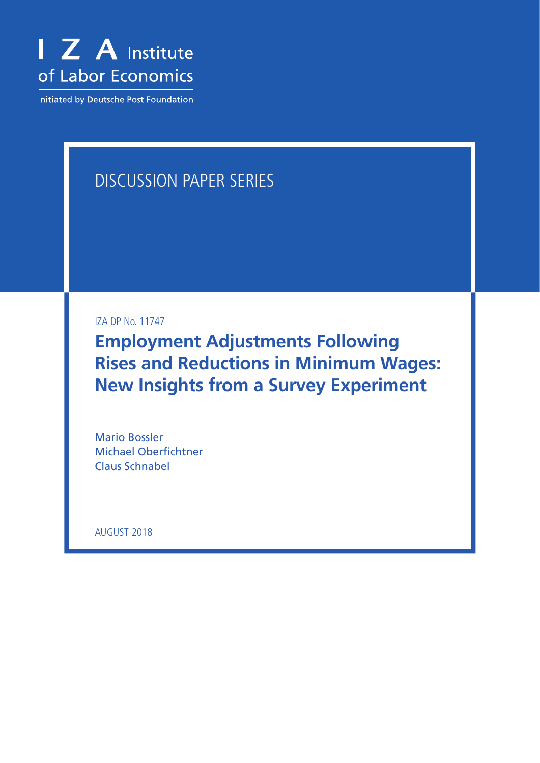

**Initiated by Deutsche Post Foundation** 

# DISCUSSION PAPER SERIES

IZA DP No. 11747

**Employment Adjustments Following Rises and Reductions in Minimum Wages: New Insights from a Survey Experiment**

Mario Bossler Michael Oberfichtner Claus Schnabel

AUGUST 2018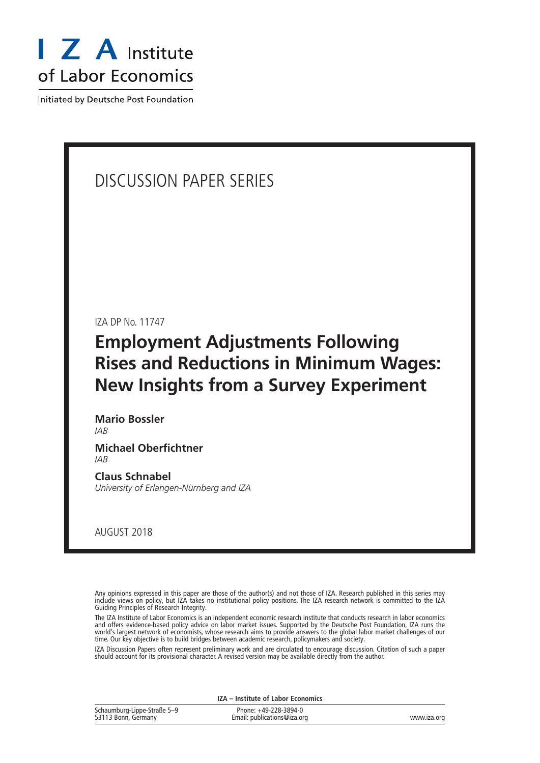

Initiated by Deutsche Post Foundation

# DISCUSSION PAPER SERIES

IZA DP No. 11747

# **Employment Adjustments Following Rises and Reductions in Minimum Wages: New Insights from a Survey Experiment**

**Mario Bossler** *IAB*

**Michael Oberfichtner** *IAB*

**Claus Schnabel** *University of Erlangen-Nürnberg and IZA*

AUGUST 2018

Any opinions expressed in this paper are those of the author(s) and not those of IZA. Research published in this series may include views on policy, but IZA takes no institutional policy positions. The IZA research network is committed to the IZA Guiding Principles of Research Integrity.

The IZA Institute of Labor Economics is an independent economic research institute that conducts research in labor economics and offers evidence-based policy advice on labor market issues. Supported by the Deutsche Post Foundation, IZA runs the world's largest network of economists, whose research aims to provide answers to the global labor market challenges of our time. Our key objective is to build bridges between academic research, policymakers and society.

IZA Discussion Papers often represent preliminary work and are circulated to encourage discussion. Citation of such a paper should account for its provisional character. A revised version may be available directly from the author.

|                                                    | IZA - Institute of Labor Economics                   |             |
|----------------------------------------------------|------------------------------------------------------|-------------|
| Schaumburg-Lippe-Straße 5–9<br>53113 Bonn, Germany | Phone: +49-228-3894-0<br>Email: publications@iza.org | www.iza.org |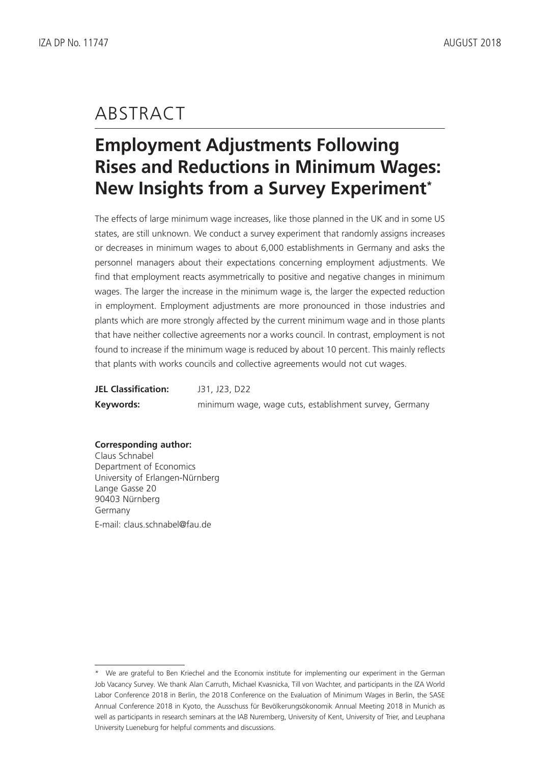# ABSTRACT

# **Employment Adjustments Following Rises and Reductions in Minimum Wages: New Insights from a Survey Experiment\***

The effects of large minimum wage increases, like those planned in the UK and in some US states, are still unknown. We conduct a survey experiment that randomly assigns increases or decreases in minimum wages to about 6,000 establishments in Germany and asks the personnel managers about their expectations concerning employment adjustments. We find that employment reacts asymmetrically to positive and negative changes in minimum wages. The larger the increase in the minimum wage is, the larger the expected reduction in employment. Employment adjustments are more pronounced in those industries and plants which are more strongly affected by the current minimum wage and in those plants that have neither collective agreements nor a works council. In contrast, employment is not found to increase if the minimum wage is reduced by about 10 percent. This mainly reflects that plants with works councils and collective agreements would not cut wages.

| <b>JEL Classification:</b> | J31, J23, D22                                          |
|----------------------------|--------------------------------------------------------|
| Keywords:                  | minimum wage, wage cuts, establishment survey, Germany |

**Corresponding author:** Claus Schnabel Department of Economics University of Erlangen-Nürnberg Lange Gasse 20 90403 Nürnberg Germany E-mail: claus.schnabel@fau.de

<sup>\*</sup> We are grateful to Ben Kriechel and the Economix institute for implementing our experiment in the German Job Vacancy Survey. We thank Alan Carruth, Michael Kvasnicka, Till von Wachter, and participants in the IZA World Labor Conference 2018 in Berlin, the 2018 Conference on the Evaluation of Minimum Wages in Berlin, the SASE Annual Conference 2018 in Kyoto, the Ausschuss für Bevölkerungsökonomik Annual Meeting 2018 in Munich as well as participants in research seminars at the IAB Nuremberg, University of Kent, University of Trier, and Leuphana University Lueneburg for helpful comments and discussions.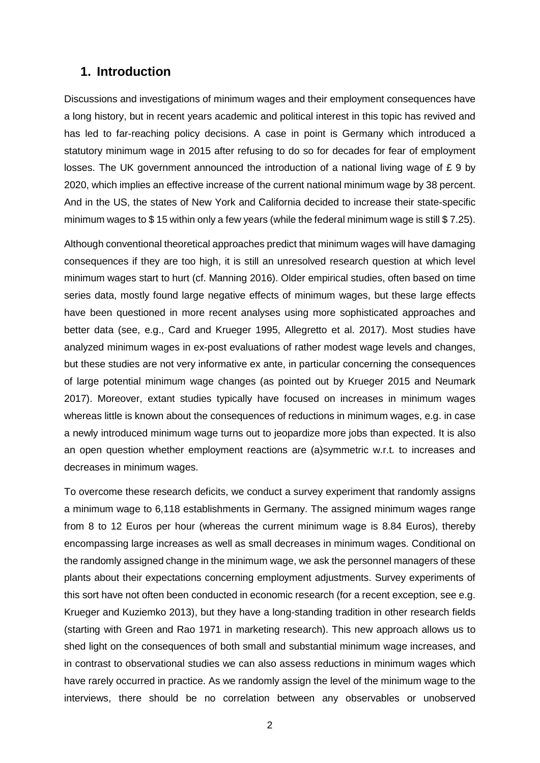## **1. Introduction**

Discussions and investigations of minimum wages and their employment consequences have a long history, but in recent years academic and political interest in this topic has revived and has led to far-reaching policy decisions. A case in point is Germany which introduced a statutory minimum wage in 2015 after refusing to do so for decades for fear of employment losses. The UK government announced the introduction of a national living wage of £ 9 by 2020, which implies an effective increase of the current national minimum wage by 38 percent. And in the US, the states of New York and California decided to increase their state-specific minimum wages to \$ 15 within only a few years (while the federal minimum wage is still \$ 7.25).

Although conventional theoretical approaches predict that minimum wages will have damaging consequences if they are too high, it is still an unresolved research question at which level minimum wages start to hurt (cf. Manning 2016). Older empirical studies, often based on time series data, mostly found large negative effects of minimum wages, but these large effects have been questioned in more recent analyses using more sophisticated approaches and better data (see, e.g., Card and Krueger 1995, Allegretto et al. 2017). Most studies have analyzed minimum wages in ex-post evaluations of rather modest wage levels and changes, but these studies are not very informative ex ante, in particular concerning the consequences of large potential minimum wage changes (as pointed out by Krueger 2015 and Neumark 2017). Moreover, extant studies typically have focused on increases in minimum wages whereas little is known about the consequences of reductions in minimum wages, e.g. in case a newly introduced minimum wage turns out to jeopardize more jobs than expected. It is also an open question whether employment reactions are (a)symmetric w.r.t. to increases and decreases in minimum wages.

To overcome these research deficits, we conduct a survey experiment that randomly assigns a minimum wage to 6,118 establishments in Germany. The assigned minimum wages range from 8 to 12 Euros per hour (whereas the current minimum wage is 8.84 Euros), thereby encompassing large increases as well as small decreases in minimum wages. Conditional on the randomly assigned change in the minimum wage, we ask the personnel managers of these plants about their expectations concerning employment adjustments. Survey experiments of this sort have not often been conducted in economic research (for a recent exception, see e.g. Krueger and Kuziemko 2013), but they have a long-standing tradition in other research fields (starting with Green and Rao 1971 in marketing research). This new approach allows us to shed light on the consequences of both small and substantial minimum wage increases, and in contrast to observational studies we can also assess reductions in minimum wages which have rarely occurred in practice. As we randomly assign the level of the minimum wage to the interviews, there should be no correlation between any observables or unobserved

2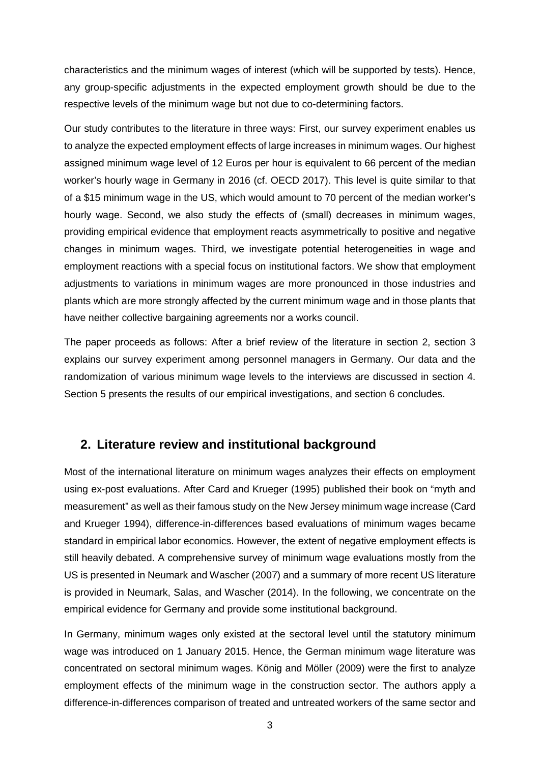characteristics and the minimum wages of interest (which will be supported by tests). Hence, any group-specific adjustments in the expected employment growth should be due to the respective levels of the minimum wage but not due to co-determining factors.

Our study contributes to the literature in three ways: First, our survey experiment enables us to analyze the expected employment effects of large increases in minimum wages. Our highest assigned minimum wage level of 12 Euros per hour is equivalent to 66 percent of the median worker's hourly wage in Germany in 2016 (cf. OECD 2017). This level is quite similar to that of a \$15 minimum wage in the US, which would amount to 70 percent of the median worker's hourly wage. Second, we also study the effects of (small) decreases in minimum wages, providing empirical evidence that employment reacts asymmetrically to positive and negative changes in minimum wages. Third, we investigate potential heterogeneities in wage and employment reactions with a special focus on institutional factors. We show that employment adjustments to variations in minimum wages are more pronounced in those industries and plants which are more strongly affected by the current minimum wage and in those plants that have neither collective bargaining agreements nor a works council.

The paper proceeds as follows: After a brief review of the literature in section 2, section 3 explains our survey experiment among personnel managers in Germany. Our data and the randomization of various minimum wage levels to the interviews are discussed in section 4. Section 5 presents the results of our empirical investigations, and section 6 concludes.

## **2. Literature review and institutional background**

Most of the international literature on minimum wages analyzes their effects on employment using ex-post evaluations. After Card and Krueger (1995) published their book on "myth and measurement" as well as their famous study on the New Jersey minimum wage increase (Card and Krueger 1994), difference-in-differences based evaluations of minimum wages became standard in empirical labor economics. However, the extent of negative employment effects is still heavily debated. A comprehensive survey of minimum wage evaluations mostly from the US is presented in Neumark and Wascher (2007) and a summary of more recent US literature is provided in Neumark, Salas, and Wascher (2014). In the following, we concentrate on the empirical evidence for Germany and provide some institutional background.

In Germany, minimum wages only existed at the sectoral level until the statutory minimum wage was introduced on 1 January 2015. Hence, the German minimum wage literature was concentrated on sectoral minimum wages. König and Möller (2009) were the first to analyze employment effects of the minimum wage in the construction sector. The authors apply a difference-in-differences comparison of treated and untreated workers of the same sector and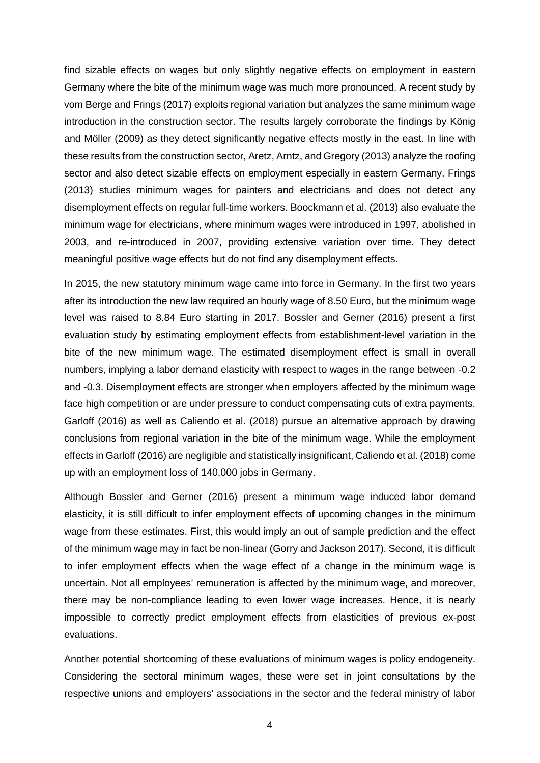find sizable effects on wages but only slightly negative effects on employment in eastern Germany where the bite of the minimum wage was much more pronounced. A recent study by vom Berge and Frings (2017) exploits regional variation but analyzes the same minimum wage introduction in the construction sector. The results largely corroborate the findings by König and Möller (2009) as they detect significantly negative effects mostly in the east. In line with these results from the construction sector, Aretz, Arntz, and Gregory (2013) analyze the roofing sector and also detect sizable effects on employment especially in eastern Germany. Frings (2013) studies minimum wages for painters and electricians and does not detect any disemployment effects on regular full-time workers. Boockmann et al. (2013) also evaluate the minimum wage for electricians, where minimum wages were introduced in 1997, abolished in 2003, and re-introduced in 2007, providing extensive variation over time. They detect meaningful positive wage effects but do not find any disemployment effects.

In 2015, the new statutory minimum wage came into force in Germany. In the first two years after its introduction the new law required an hourly wage of 8.50 Euro, but the minimum wage level was raised to 8.84 Euro starting in 2017. Bossler and Gerner (2016) present a first evaluation study by estimating employment effects from establishment-level variation in the bite of the new minimum wage. The estimated disemployment effect is small in overall numbers, implying a labor demand elasticity with respect to wages in the range between -0.2 and -0.3. Disemployment effects are stronger when employers affected by the minimum wage face high competition or are under pressure to conduct compensating cuts of extra payments. Garloff (2016) as well as Caliendo et al. (2018) pursue an alternative approach by drawing conclusions from regional variation in the bite of the minimum wage. While the employment effects in Garloff (2016) are negligible and statistically insignificant, Caliendo et al. (2018) come up with an employment loss of 140,000 jobs in Germany.

Although Bossler and Gerner (2016) present a minimum wage induced labor demand elasticity, it is still difficult to infer employment effects of upcoming changes in the minimum wage from these estimates. First, this would imply an out of sample prediction and the effect of the minimum wage may in fact be non-linear (Gorry and Jackson 2017). Second, it is difficult to infer employment effects when the wage effect of a change in the minimum wage is uncertain. Not all employees' remuneration is affected by the minimum wage, and moreover, there may be non-compliance leading to even lower wage increases. Hence, it is nearly impossible to correctly predict employment effects from elasticities of previous ex-post evaluations.

Another potential shortcoming of these evaluations of minimum wages is policy endogeneity. Considering the sectoral minimum wages, these were set in joint consultations by the respective unions and employers' associations in the sector and the federal ministry of labor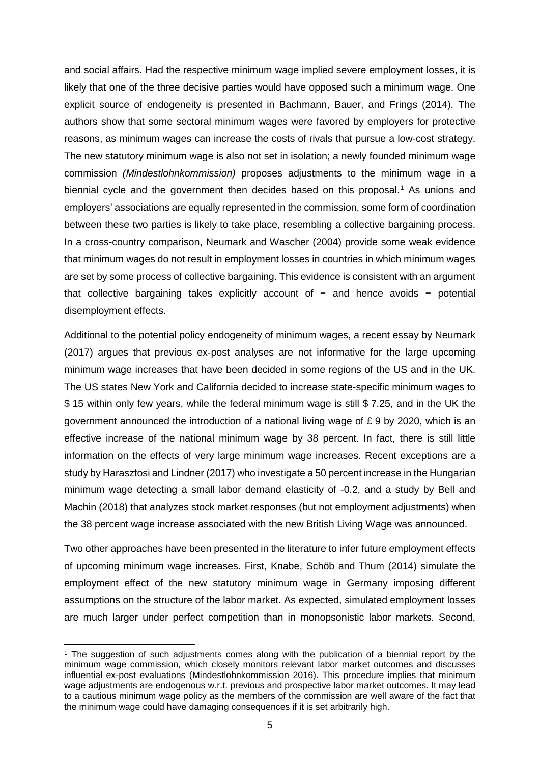and social affairs. Had the respective minimum wage implied severe employment losses, it is likely that one of the three decisive parties would have opposed such a minimum wage. One explicit source of endogeneity is presented in Bachmann, Bauer, and Frings (2014). The authors show that some sectoral minimum wages were favored by employers for protective reasons, as minimum wages can increase the costs of rivals that pursue a low-cost strategy. The new statutory minimum wage is also not set in isolation; a newly founded minimum wage commission *(Mindestlohnkommission)* proposes adjustments to the minimum wage in a biennial cycle and the government then decides based on this proposal.<sup>[1](#page-6-0)</sup> As unions and employers' associations are equally represented in the commission, some form of coordination between these two parties is likely to take place, resembling a collective bargaining process. In a cross-country comparison, Neumark and Wascher (2004) provide some weak evidence that minimum wages do not result in employment losses in countries in which minimum wages are set by some process of collective bargaining. This evidence is consistent with an argument that collective bargaining takes explicitly account of − and hence avoids − potential disemployment effects.

Additional to the potential policy endogeneity of minimum wages, a recent essay by Neumark (2017) argues that previous ex-post analyses are not informative for the large upcoming minimum wage increases that have been decided in some regions of the US and in the UK. The US states New York and California decided to increase state-specific minimum wages to \$ 15 within only few years, while the federal minimum wage is still \$ 7.25, and in the UK the government announced the introduction of a national living wage of £ 9 by 2020, which is an effective increase of the national minimum wage by 38 percent. In fact, there is still little information on the effects of very large minimum wage increases. Recent exceptions are a study by Harasztosi and Lindner (2017) who investigate a 50 percent increase in the Hungarian minimum wage detecting a small labor demand elasticity of -0.2, and a study by Bell and Machin (2018) that analyzes stock market responses (but not employment adjustments) when the 38 percent wage increase associated with the new British Living Wage was announced.

Two other approaches have been presented in the literature to infer future employment effects of upcoming minimum wage increases. First, Knabe, Schöb and Thum (2014) simulate the employment effect of the new statutory minimum wage in Germany imposing different assumptions on the structure of the labor market. As expected, simulated employment losses are much larger under perfect competition than in monopsonistic labor markets. Second,

<span id="page-6-0"></span><sup>&</sup>lt;sup>1</sup> The suggestion of such adjustments comes along with the publication of a biennial report by the minimum wage commission, which closely monitors relevant labor market outcomes and discusses influential ex-post evaluations (Mindestlohnkommission 2016). This procedure implies that minimum wage adjustments are endogenous w.r.t. previous and prospective labor market outcomes. It may lead to a cautious minimum wage policy as the members of the commission are well aware of the fact that the minimum wage could have damaging consequences if it is set arbitrarily high.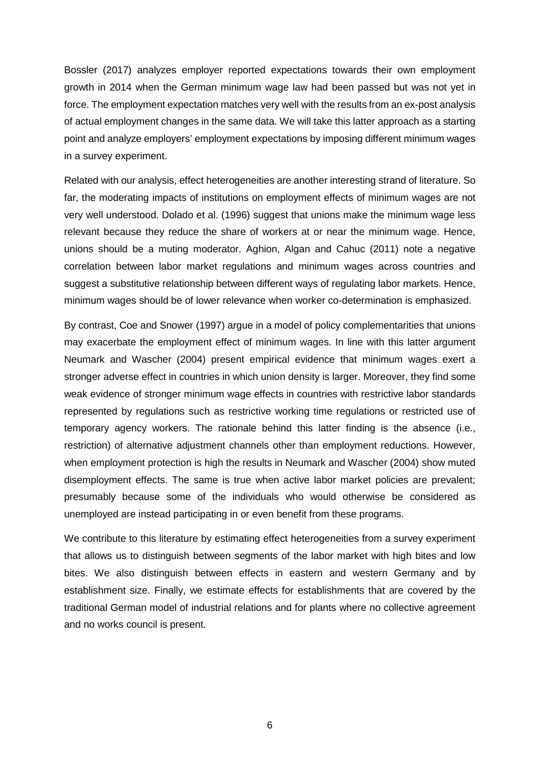Bossler (2017) analyzes employer reported expectations towards their own employment growth in 2014 when the German minimum wage law had been passed but was not yet in force. The employment expectation matches very well with the results from an ex-post analysis of actual employment changes in the same data. We will take this latter approach as a starting point and analyze employers' employment expectations by imposing different minimum wages in a survey experiment.

Related with our analysis, effect heterogeneities are another interesting strand of literature. So far, the moderating impacts of institutions on employment effects of minimum wages are not very well understood. Dolado et al. (1996) suggest that unions make the minimum wage less relevant because they reduce the share of workers at or near the minimum wage. Hence, unions should be a muting moderator. Aghion, Algan and Cahuc (2011) note a negative correlation between labor market regulations and minimum wages across countries and suggest a substitutive relationship between different ways of regulating labor markets. Hence, minimum wages should be of lower relevance when worker co-determination is emphasized.

By contrast, Coe and Snower (1997) argue in a model of policy complementarities that unions may exacerbate the employment effect of minimum wages. In line with this latter argument Neumark and Wascher (2004) present empirical evidence that minimum wages exert a stronger adverse effect in countries in which union density is larger. Moreover, they find some weak evidence of stronger minimum wage effects in countries with restrictive labor standards represented by regulations such as restrictive working time regulations or restricted use of temporary agency workers. The rationale behind this latter finding is the absence (i.e., restriction) of alternative adjustment channels other than employment reductions. However, when employment protection is high the results in Neumark and Wascher (2004) show muted disemployment effects. The same is true when active labor market policies are prevalent; presumably because some of the individuals who would otherwise be considered as unemployed are instead participating in or even benefit from these programs.

We contribute to this literature by estimating effect heterogeneities from a survey experiment that allows us to distinguish between segments of the labor market with high bites and low bites. We also distinguish between effects in eastern and western Germany and by establishment size. Finally, we estimate effects for establishments that are covered by the traditional German model of industrial relations and for plants where no collective agreement and no works council is present.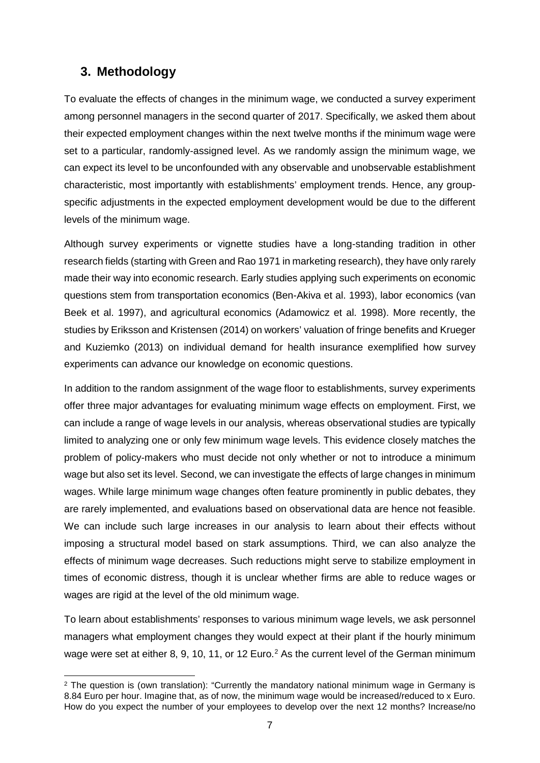# **3. Methodology**

To evaluate the effects of changes in the minimum wage, we conducted a survey experiment among personnel managers in the second quarter of 2017. Specifically, we asked them about their expected employment changes within the next twelve months if the minimum wage were set to a particular, randomly-assigned level. As we randomly assign the minimum wage, we can expect its level to be unconfounded with any observable and unobservable establishment characteristic, most importantly with establishments' employment trends. Hence, any groupspecific adjustments in the expected employment development would be due to the different levels of the minimum wage.

Although survey experiments or vignette studies have a long-standing tradition in other research fields (starting with Green and Rao 1971 in marketing research), they have only rarely made their way into economic research. Early studies applying such experiments on economic questions stem from transportation economics (Ben-Akiva et al. 1993), labor economics (van Beek et al. 1997), and agricultural economics (Adamowicz et al. 1998). More recently, the studies by Eriksson and Kristensen (2014) on workers' valuation of fringe benefits and Krueger and Kuziemko (2013) on individual demand for health insurance exemplified how survey experiments can advance our knowledge on economic questions.

In addition to the random assignment of the wage floor to establishments, survey experiments offer three major advantages for evaluating minimum wage effects on employment. First, we can include a range of wage levels in our analysis, whereas observational studies are typically limited to analyzing one or only few minimum wage levels. This evidence closely matches the problem of policy-makers who must decide not only whether or not to introduce a minimum wage but also set its level. Second, we can investigate the effects of large changes in minimum wages. While large minimum wage changes often feature prominently in public debates, they are rarely implemented, and evaluations based on observational data are hence not feasible. We can include such large increases in our analysis to learn about their effects without imposing a structural model based on stark assumptions. Third, we can also analyze the effects of minimum wage decreases. Such reductions might serve to stabilize employment in times of economic distress, though it is unclear whether firms are able to reduce wages or wages are rigid at the level of the old minimum wage.

To learn about establishments' responses to various minimum wage levels, we ask personnel managers what employment changes they would expect at their plant if the hourly minimum wage were set at either 8, 9, 10, 11, or 1[2](#page-8-0) Euro.<sup>2</sup> As the current level of the German minimum

<span id="page-8-0"></span><sup>&</sup>lt;sup>2</sup> The question is (own translation): "Currently the mandatory national minimum wage in Germany is 8.84 Euro per hour. Imagine that, as of now, the minimum wage would be increased/reduced to x Euro. How do you expect the number of your employees to develop over the next 12 months? Increase/no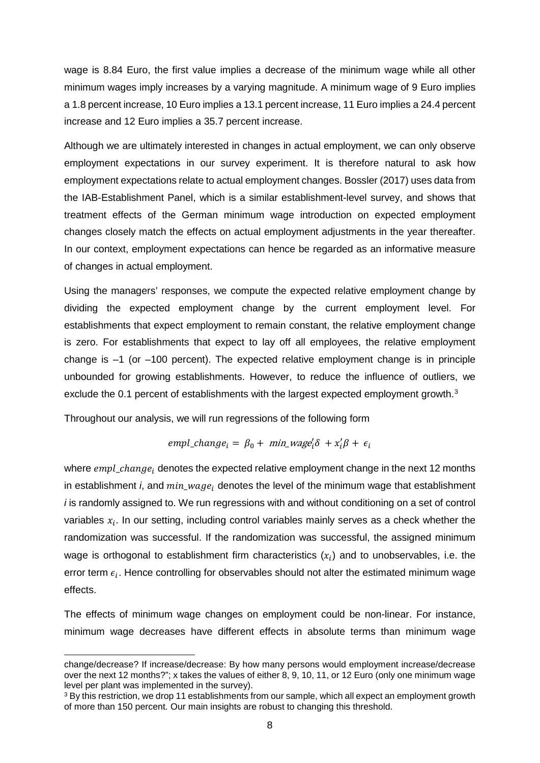wage is 8.84 Euro, the first value implies a decrease of the minimum wage while all other minimum wages imply increases by a varying magnitude. A minimum wage of 9 Euro implies a 1.8 percent increase, 10 Euro implies a 13.1 percent increase, 11 Euro implies a 24.4 percent increase and 12 Euro implies a 35.7 percent increase.

Although we are ultimately interested in changes in actual employment, we can only observe employment expectations in our survey experiment. It is therefore natural to ask how employment expectations relate to actual employment changes. Bossler (2017) uses data from the IAB-Establishment Panel, which is a similar establishment-level survey, and shows that treatment effects of the German minimum wage introduction on expected employment changes closely match the effects on actual employment adjustments in the year thereafter. In our context, employment expectations can hence be regarded as an informative measure of changes in actual employment.

Using the managers' responses, we compute the expected relative employment change by dividing the expected employment change by the current employment level. For establishments that expect employment to remain constant, the relative employment change is zero. For establishments that expect to lay off all employees, the relative employment change is  $-1$  (or  $-100$  percent). The expected relative employment change is in principle unbounded for growing establishments. However, to reduce the influence of outliers, we exclude the 0.1 percent of establishments with the largest expected employment growth.<sup>[3](#page-9-0)</sup>

Throughout our analysis, we will run regressions of the following form

 $empl\_change_i = \beta_0 + min\_wage'_i \delta + x'_i \beta + \epsilon_i$ 

where  $empl\_change_i$  denotes the expected relative employment change in the next 12 months in establishment *i*, and  $min_{\omega} \omega_{q} e_i$  denotes the level of the minimum wage that establishment *i* is randomly assigned to. We run regressions with and without conditioning on a set of control variables  $x_i$ . In our setting, including control variables mainly serves as a check whether the randomization was successful. If the randomization was successful, the assigned minimum wage is orthogonal to establishment firm characteristics  $(x_i)$  and to unobservables, i.e. the error term  $\epsilon_i$ . Hence controlling for observables should not alter the estimated minimum wage effects.

The effects of minimum wage changes on employment could be non-linear. For instance, minimum wage decreases have different effects in absolute terms than minimum wage

 $\overline{a}$ change/decrease? If increase/decrease: By how many persons would employment increase/decrease over the next 12 months?"; x takes the values of either 8, 9, 10, 11, or 12 Euro (only one minimum wage level per plant was implemented in the survey).

<span id="page-9-0"></span><sup>&</sup>lt;sup>3</sup> By this restriction, we drop 11 establishments from our sample, which all expect an employment growth of more than 150 percent. Our main insights are robust to changing this threshold.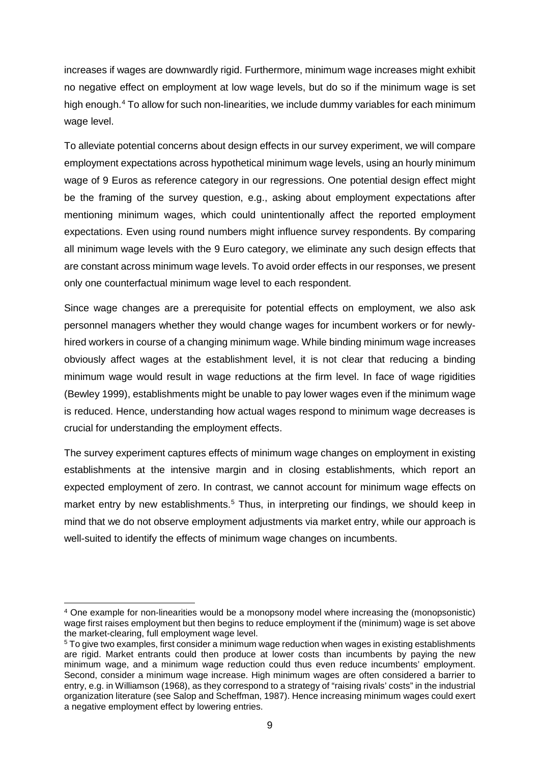increases if wages are downwardly rigid. Furthermore, minimum wage increases might exhibit no negative effect on employment at low wage levels, but do so if the minimum wage is set high enough. [4](#page-10-0) To allow for such non-linearities, we include dummy variables for each minimum wage level.

To alleviate potential concerns about design effects in our survey experiment, we will compare employment expectations across hypothetical minimum wage levels, using an hourly minimum wage of 9 Euros as reference category in our regressions. One potential design effect might be the framing of the survey question, e.g., asking about employment expectations after mentioning minimum wages, which could unintentionally affect the reported employment expectations. Even using round numbers might influence survey respondents. By comparing all minimum wage levels with the 9 Euro category, we eliminate any such design effects that are constant across minimum wage levels. To avoid order effects in our responses, we present only one counterfactual minimum wage level to each respondent.

Since wage changes are a prerequisite for potential effects on employment, we also ask personnel managers whether they would change wages for incumbent workers or for newlyhired workers in course of a changing minimum wage. While binding minimum wage increases obviously affect wages at the establishment level, it is not clear that reducing a binding minimum wage would result in wage reductions at the firm level. In face of wage rigidities (Bewley 1999), establishments might be unable to pay lower wages even if the minimum wage is reduced. Hence, understanding how actual wages respond to minimum wage decreases is crucial for understanding the employment effects.

The survey experiment captures effects of minimum wage changes on employment in existing establishments at the intensive margin and in closing establishments, which report an expected employment of zero. In contrast, we cannot account for minimum wage effects on market entry by new establishments.<sup>[5](#page-10-1)</sup> Thus, in interpreting our findings, we should keep in mind that we do not observe employment adjustments via market entry, while our approach is well-suited to identify the effects of minimum wage changes on incumbents.

<span id="page-10-0"></span> <sup>4</sup> One example for non-linearities would be a monopsony model where increasing the (monopsonistic) wage first raises employment but then begins to reduce employment if the (minimum) wage is set above the market-clearing, full employment wage level.

<span id="page-10-1"></span><sup>5</sup> To give two examples, first consider a minimum wage reduction when wages in existing establishments are rigid. Market entrants could then produce at lower costs than incumbents by paying the new minimum wage, and a minimum wage reduction could thus even reduce incumbents' employment. Second, consider a minimum wage increase. High minimum wages are often considered a barrier to entry, e.g. in Williamson (1968), as they correspond to a strategy of "raising rivals' costs" in the industrial organization literature (see Salop and Scheffman, 1987). Hence increasing minimum wages could exert a negative employment effect by lowering entries.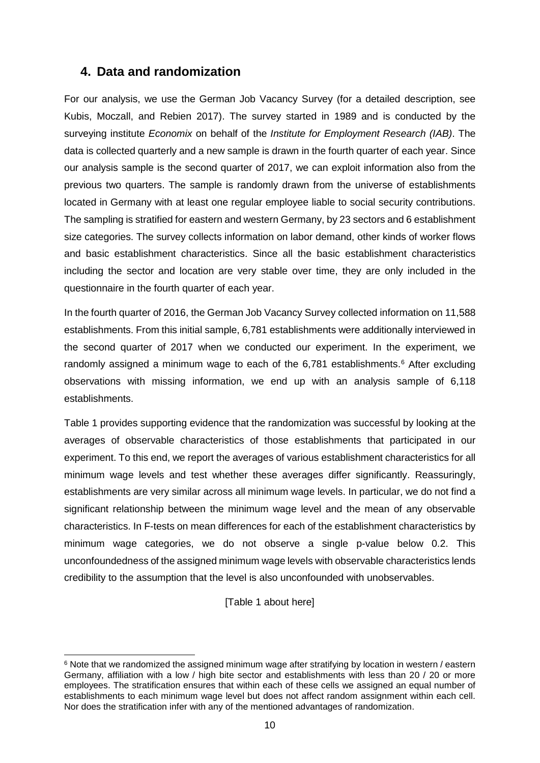## **4. Data and randomization**

For our analysis, we use the German Job Vacancy Survey (for a detailed description, see Kubis, Moczall, and Rebien 2017). The survey started in 1989 and is conducted by the surveying institute *Economix* on behalf of the *Institute for Employment Research (IAB)*. The data is collected quarterly and a new sample is drawn in the fourth quarter of each year. Since our analysis sample is the second quarter of 2017, we can exploit information also from the previous two quarters. The sample is randomly drawn from the universe of establishments located in Germany with at least one regular employee liable to social security contributions. The sampling is stratified for eastern and western Germany, by 23 sectors and 6 establishment size categories. The survey collects information on labor demand, other kinds of worker flows and basic establishment characteristics. Since all the basic establishment characteristics including the sector and location are very stable over time, they are only included in the questionnaire in the fourth quarter of each year.

In the fourth quarter of 2016, the German Job Vacancy Survey collected information on 11,588 establishments. From this initial sample, 6,781 establishments were additionally interviewed in the second quarter of 2017 when we conducted our experiment. In the experiment, we randomly assigned a minimum wage to each of the  $6.781$  $6.781$  establishments.<sup>6</sup> After excluding observations with missing information, we end up with an analysis sample of 6,118 establishments.

Table 1 provides supporting evidence that the randomization was successful by looking at the averages of observable characteristics of those establishments that participated in our experiment. To this end, we report the averages of various establishment characteristics for all minimum wage levels and test whether these averages differ significantly. Reassuringly, establishments are very similar across all minimum wage levels. In particular, we do not find a significant relationship between the minimum wage level and the mean of any observable characteristics. In F-tests on mean differences for each of the establishment characteristics by minimum wage categories, we do not observe a single p-value below 0.2. This unconfoundedness of the assigned minimum wage levels with observable characteristics lends credibility to the assumption that the level is also unconfounded with unobservables.

[Table 1 about here]

<span id="page-11-0"></span><sup>&</sup>lt;sup>6</sup> Note that we randomized the assigned minimum wage after stratifying by location in western / eastern Germany, affiliation with a low / high bite sector and establishments with less than 20 / 20 or more employees. The stratification ensures that within each of these cells we assigned an equal number of establishments to each minimum wage level but does not affect random assignment within each cell. Nor does the stratification infer with any of the mentioned advantages of randomization.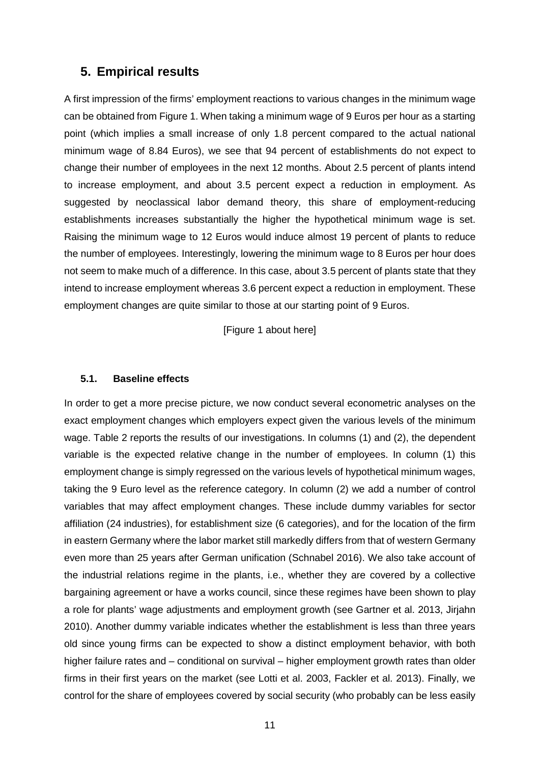## **5. Empirical results**

A first impression of the firms' employment reactions to various changes in the minimum wage can be obtained from Figure 1. When taking a minimum wage of 9 Euros per hour as a starting point (which implies a small increase of only 1.8 percent compared to the actual national minimum wage of 8.84 Euros), we see that 94 percent of establishments do not expect to change their number of employees in the next 12 months. About 2.5 percent of plants intend to increase employment, and about 3.5 percent expect a reduction in employment. As suggested by neoclassical labor demand theory, this share of employment-reducing establishments increases substantially the higher the hypothetical minimum wage is set. Raising the minimum wage to 12 Euros would induce almost 19 percent of plants to reduce the number of employees. Interestingly, lowering the minimum wage to 8 Euros per hour does not seem to make much of a difference. In this case, about 3.5 percent of plants state that they intend to increase employment whereas 3.6 percent expect a reduction in employment. These employment changes are quite similar to those at our starting point of 9 Euros.

[Figure 1 about here]

#### **5.1. Baseline effects**

In order to get a more precise picture, we now conduct several econometric analyses on the exact employment changes which employers expect given the various levels of the minimum wage. Table 2 reports the results of our investigations. In columns (1) and (2), the dependent variable is the expected relative change in the number of employees. In column (1) this employment change is simply regressed on the various levels of hypothetical minimum wages, taking the 9 Euro level as the reference category. In column (2) we add a number of control variables that may affect employment changes. These include dummy variables for sector affiliation (24 industries), for establishment size (6 categories), and for the location of the firm in eastern Germany where the labor market still markedly differs from that of western Germany even more than 25 years after German unification (Schnabel 2016). We also take account of the industrial relations regime in the plants, i.e., whether they are covered by a collective bargaining agreement or have a works council, since these regimes have been shown to play a role for plants' wage adjustments and employment growth (see Gartner et al. 2013, Jirjahn 2010). Another dummy variable indicates whether the establishment is less than three years old since young firms can be expected to show a distinct employment behavior, with both higher failure rates and – conditional on survival – higher employment growth rates than older firms in their first years on the market (see Lotti et al. 2003, Fackler et al. 2013). Finally, we control for the share of employees covered by social security (who probably can be less easily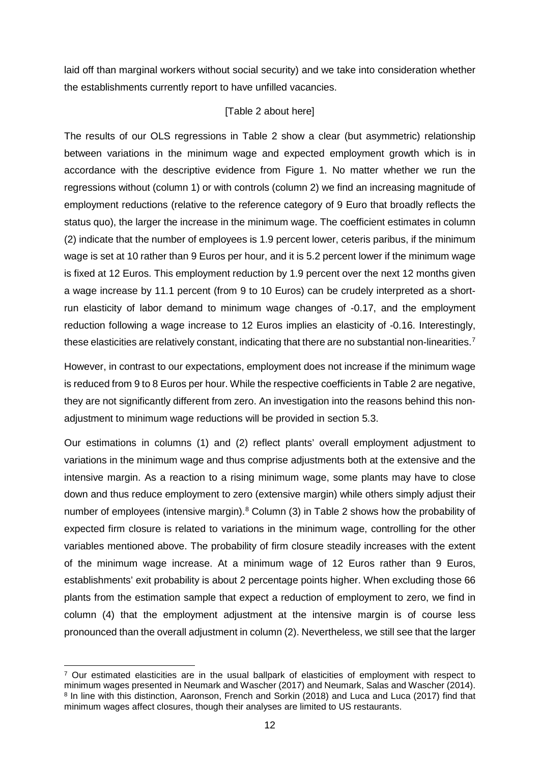laid off than marginal workers without social security) and we take into consideration whether the establishments currently report to have unfilled vacancies.

#### [Table 2 about here]

The results of our OLS regressions in Table 2 show a clear (but asymmetric) relationship between variations in the minimum wage and expected employment growth which is in accordance with the descriptive evidence from Figure 1. No matter whether we run the regressions without (column 1) or with controls (column 2) we find an increasing magnitude of employment reductions (relative to the reference category of 9 Euro that broadly reflects the status quo), the larger the increase in the minimum wage. The coefficient estimates in column (2) indicate that the number of employees is 1.9 percent lower, ceteris paribus, if the minimum wage is set at 10 rather than 9 Euros per hour, and it is 5.2 percent lower if the minimum wage is fixed at 12 Euros. This employment reduction by 1.9 percent over the next 12 months given a wage increase by 11.1 percent (from 9 to 10 Euros) can be crudely interpreted as a shortrun elasticity of labor demand to minimum wage changes of -0.17, and the employment reduction following a wage increase to 12 Euros implies an elasticity of -0.16. Interestingly, these elasticities are relatively constant, indicating that there are no substantial non-linearities.<sup>[7](#page-13-0)</sup>

However, in contrast to our expectations, employment does not increase if the minimum wage is reduced from 9 to 8 Euros per hour. While the respective coefficients in Table 2 are negative, they are not significantly different from zero. An investigation into the reasons behind this nonadjustment to minimum wage reductions will be provided in section 5.3.

Our estimations in columns (1) and (2) reflect plants' overall employment adjustment to variations in the minimum wage and thus comprise adjustments both at the extensive and the intensive margin. As a reaction to a rising minimum wage, some plants may have to close down and thus reduce employment to zero (extensive margin) while others simply adjust their number of employees (intensive margin).<sup>[8](#page-13-1)</sup> Column (3) in Table 2 shows how the probability of expected firm closure is related to variations in the minimum wage, controlling for the other variables mentioned above. The probability of firm closure steadily increases with the extent of the minimum wage increase. At a minimum wage of 12 Euros rather than 9 Euros, establishments' exit probability is about 2 percentage points higher. When excluding those 66 plants from the estimation sample that expect a reduction of employment to zero, we find in column (4) that the employment adjustment at the intensive margin is of course less pronounced than the overall adjustment in column (2). Nevertheless, we still see that the larger

<span id="page-13-1"></span><span id="page-13-0"></span> <sup>7</sup> Our estimated elasticities are in the usual ballpark of elasticities of employment with respect to minimum wages presented in Neumark and Wascher (2017) and Neumark, Salas and Wascher (2014). <sup>8</sup> In line with this distinction, Aaronson, French and Sorkin (2018) and Luca and Luca (2017) find that minimum wages affect closures, though their analyses are limited to US restaurants.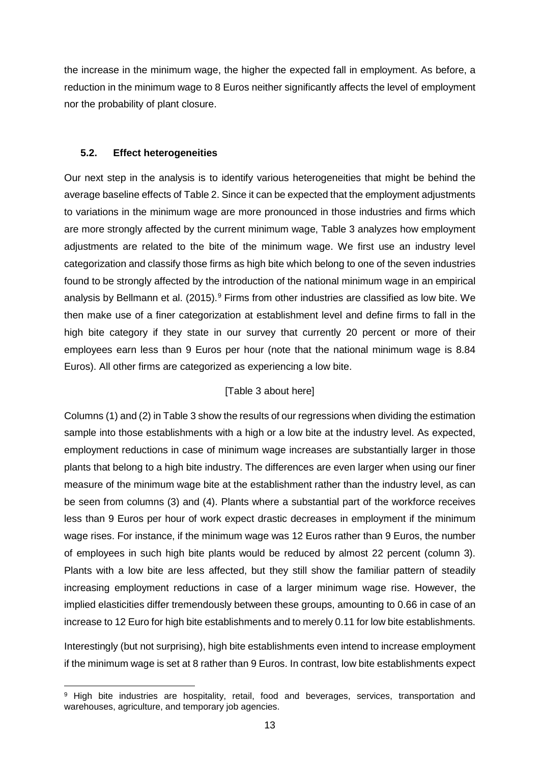the increase in the minimum wage, the higher the expected fall in employment. As before, a reduction in the minimum wage to 8 Euros neither significantly affects the level of employment nor the probability of plant closure.

### **5.2. Effect heterogeneities**

Our next step in the analysis is to identify various heterogeneities that might be behind the average baseline effects of Table 2. Since it can be expected that the employment adjustments to variations in the minimum wage are more pronounced in those industries and firms which are more strongly affected by the current minimum wage, Table 3 analyzes how employment adjustments are related to the bite of the minimum wage. We first use an industry level categorization and classify those firms as high bite which belong to one of the seven industries found to be strongly affected by the introduction of the national minimum wage in an empirical analysis by Bellmann et al. (2015).<sup>[9](#page-14-0)</sup> Firms from other industries are classified as low bite. We then make use of a finer categorization at establishment level and define firms to fall in the high bite category if they state in our survey that currently 20 percent or more of their employees earn less than 9 Euros per hour (note that the national minimum wage is 8.84 Euros). All other firms are categorized as experiencing a low bite.

### [Table 3 about here]

Columns (1) and (2) in Table 3 show the results of our regressions when dividing the estimation sample into those establishments with a high or a low bite at the industry level. As expected, employment reductions in case of minimum wage increases are substantially larger in those plants that belong to a high bite industry. The differences are even larger when using our finer measure of the minimum wage bite at the establishment rather than the industry level, as can be seen from columns (3) and (4). Plants where a substantial part of the workforce receives less than 9 Euros per hour of work expect drastic decreases in employment if the minimum wage rises. For instance, if the minimum wage was 12 Euros rather than 9 Euros, the number of employees in such high bite plants would be reduced by almost 22 percent (column 3). Plants with a low bite are less affected, but they still show the familiar pattern of steadily increasing employment reductions in case of a larger minimum wage rise. However, the implied elasticities differ tremendously between these groups, amounting to 0.66 in case of an increase to 12 Euro for high bite establishments and to merely 0.11 for low bite establishments.

Interestingly (but not surprising), high bite establishments even intend to increase employment if the minimum wage is set at 8 rather than 9 Euros. In contrast, low bite establishments expect

<span id="page-14-0"></span><sup>&</sup>lt;sup>9</sup> High bite industries are hospitality, retail, food and beverages, services, transportation and warehouses, agriculture, and temporary job agencies.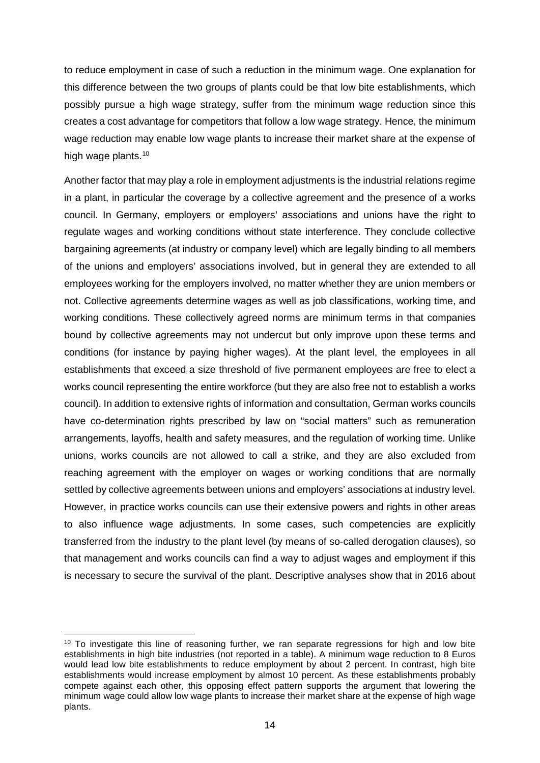to reduce employment in case of such a reduction in the minimum wage. One explanation for this difference between the two groups of plants could be that low bite establishments, which possibly pursue a high wage strategy, suffer from the minimum wage reduction since this creates a cost advantage for competitors that follow a low wage strategy. Hence, the minimum wage reduction may enable low wage plants to increase their market share at the expense of high wage plants.<sup>[10](#page-15-0)</sup>

Another factor that may play a role in employment adjustments is the industrial relations regime in a plant, in particular the coverage by a collective agreement and the presence of a works council. In Germany, employers or employers' associations and unions have the right to regulate wages and working conditions without state interference. They conclude collective bargaining agreements (at industry or company level) which are legally binding to all members of the unions and employers' associations involved, but in general they are extended to all employees working for the employers involved, no matter whether they are union members or not. Collective agreements determine wages as well as job classifications, working time, and working conditions. These collectively agreed norms are minimum terms in that companies bound by collective agreements may not undercut but only improve upon these terms and conditions (for instance by paying higher wages). At the plant level, the employees in all establishments that exceed a size threshold of five permanent employees are free to elect a works council representing the entire workforce (but they are also free not to establish a works council). In addition to extensive rights of information and consultation, German works councils have co-determination rights prescribed by law on "social matters" such as remuneration arrangements, layoffs, health and safety measures, and the regulation of working time. Unlike unions, works councils are not allowed to call a strike, and they are also excluded from reaching agreement with the employer on wages or working conditions that are normally settled by collective agreements between unions and employers' associations at industry level. However, in practice works councils can use their extensive powers and rights in other areas to also influence wage adjustments. In some cases, such competencies are explicitly transferred from the industry to the plant level (by means of so-called derogation clauses), so that management and works councils can find a way to adjust wages and employment if this is necessary to secure the survival of the plant. Descriptive analyses show that in 2016 about

<span id="page-15-0"></span><sup>&</sup>lt;sup>10</sup> To investigate this line of reasoning further, we ran separate regressions for high and low bite establishments in high bite industries (not reported in a table). A minimum wage reduction to 8 Euros would lead low bite establishments to reduce employment by about 2 percent. In contrast, high bite establishments would increase employment by almost 10 percent. As these establishments probably compete against each other, this opposing effect pattern supports the argument that lowering the minimum wage could allow low wage plants to increase their market share at the expense of high wage plants.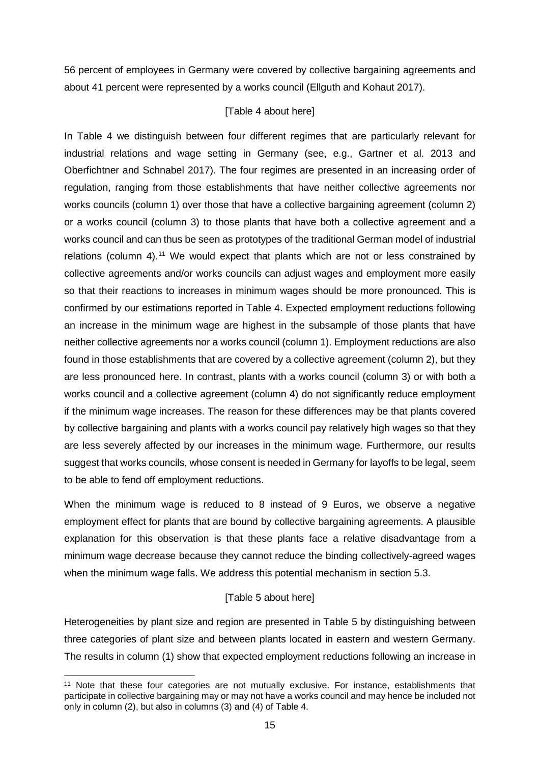56 percent of employees in Germany were covered by collective bargaining agreements and about 41 percent were represented by a works council (Ellguth and Kohaut 2017).

### [Table 4 about here]

In Table 4 we distinguish between four different regimes that are particularly relevant for industrial relations and wage setting in Germany (see, e.g., Gartner et al. 2013 and Oberfichtner and Schnabel 2017). The four regimes are presented in an increasing order of regulation, ranging from those establishments that have neither collective agreements nor works councils (column 1) over those that have a collective bargaining agreement (column 2) or a works council (column 3) to those plants that have both a collective agreement and a works council and can thus be seen as prototypes of the traditional German model of industrial relations (column 4).<sup>[11](#page-16-0)</sup> We would expect that plants which are not or less constrained by collective agreements and/or works councils can adjust wages and employment more easily so that their reactions to increases in minimum wages should be more pronounced. This is confirmed by our estimations reported in Table 4. Expected employment reductions following an increase in the minimum wage are highest in the subsample of those plants that have neither collective agreements nor a works council (column 1). Employment reductions are also found in those establishments that are covered by a collective agreement (column 2), but they are less pronounced here. In contrast, plants with a works council (column 3) or with both a works council and a collective agreement (column 4) do not significantly reduce employment if the minimum wage increases. The reason for these differences may be that plants covered by collective bargaining and plants with a works council pay relatively high wages so that they are less severely affected by our increases in the minimum wage. Furthermore, our results suggest that works councils, whose consent is needed in Germany for layoffs to be legal, seem to be able to fend off employment reductions.

When the minimum wage is reduced to 8 instead of 9 Euros, we observe a negative employment effect for plants that are bound by collective bargaining agreements. A plausible explanation for this observation is that these plants face a relative disadvantage from a minimum wage decrease because they cannot reduce the binding collectively-agreed wages when the minimum wage falls. We address this potential mechanism in section 5.3.

### [Table 5 about here]

Heterogeneities by plant size and region are presented in Table 5 by distinguishing between three categories of plant size and between plants located in eastern and western Germany. The results in column (1) show that expected employment reductions following an increase in

<span id="page-16-0"></span><sup>&</sup>lt;sup>11</sup> Note that these four categories are not mutually exclusive. For instance, establishments that participate in collective bargaining may or may not have a works council and may hence be included not only in column (2), but also in columns (3) and (4) of Table 4.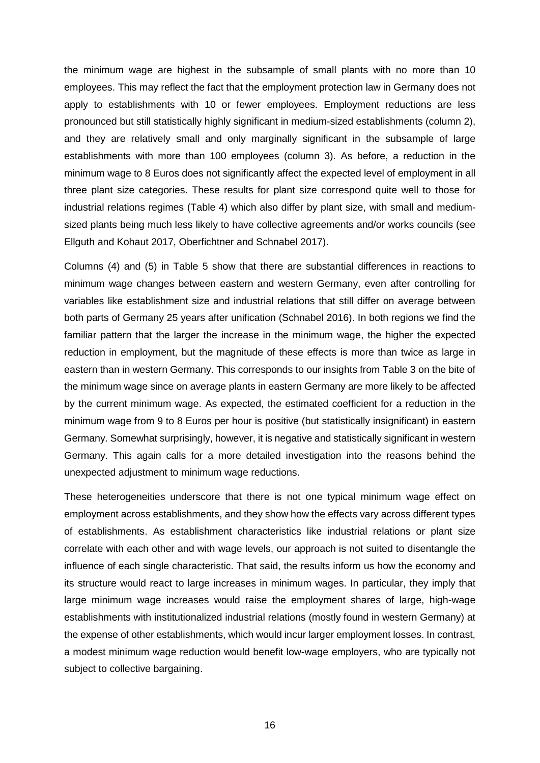the minimum wage are highest in the subsample of small plants with no more than 10 employees. This may reflect the fact that the employment protection law in Germany does not apply to establishments with 10 or fewer employees. Employment reductions are less pronounced but still statistically highly significant in medium-sized establishments (column 2), and they are relatively small and only marginally significant in the subsample of large establishments with more than 100 employees (column 3). As before, a reduction in the minimum wage to 8 Euros does not significantly affect the expected level of employment in all three plant size categories. These results for plant size correspond quite well to those for industrial relations regimes (Table 4) which also differ by plant size, with small and mediumsized plants being much less likely to have collective agreements and/or works councils (see Ellguth and Kohaut 2017, Oberfichtner and Schnabel 2017).

Columns (4) and (5) in Table 5 show that there are substantial differences in reactions to minimum wage changes between eastern and western Germany, even after controlling for variables like establishment size and industrial relations that still differ on average between both parts of Germany 25 years after unification (Schnabel 2016). In both regions we find the familiar pattern that the larger the increase in the minimum wage, the higher the expected reduction in employment, but the magnitude of these effects is more than twice as large in eastern than in western Germany. This corresponds to our insights from Table 3 on the bite of the minimum wage since on average plants in eastern Germany are more likely to be affected by the current minimum wage. As expected, the estimated coefficient for a reduction in the minimum wage from 9 to 8 Euros per hour is positive (but statistically insignificant) in eastern Germany. Somewhat surprisingly, however, it is negative and statistically significant in western Germany. This again calls for a more detailed investigation into the reasons behind the unexpected adjustment to minimum wage reductions.

These heterogeneities underscore that there is not one typical minimum wage effect on employment across establishments, and they show how the effects vary across different types of establishments. As establishment characteristics like industrial relations or plant size correlate with each other and with wage levels, our approach is not suited to disentangle the influence of each single characteristic. That said, the results inform us how the economy and its structure would react to large increases in minimum wages. In particular, they imply that large minimum wage increases would raise the employment shares of large, high-wage establishments with institutionalized industrial relations (mostly found in western Germany) at the expense of other establishments, which would incur larger employment losses. In contrast, a modest minimum wage reduction would benefit low-wage employers, who are typically not subject to collective bargaining.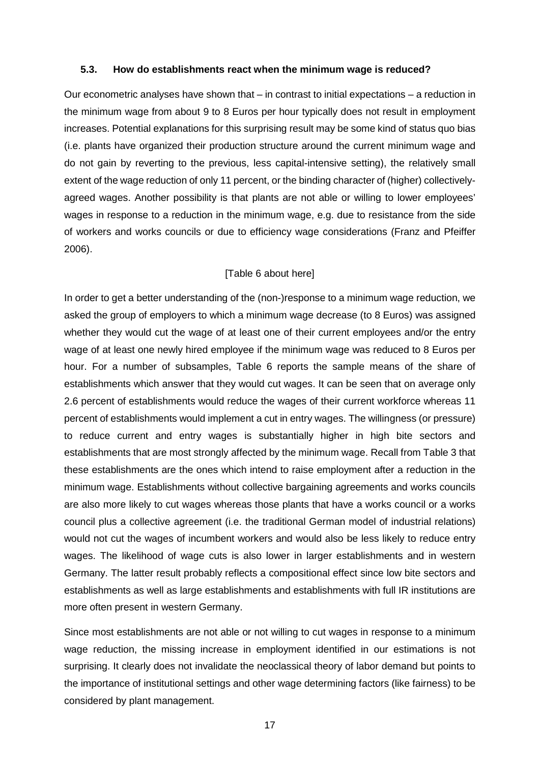#### **5.3. How do establishments react when the minimum wage is reduced?**

Our econometric analyses have shown that – in contrast to initial expectations – a reduction in the minimum wage from about 9 to 8 Euros per hour typically does not result in employment increases. Potential explanations for this surprising result may be some kind of status quo bias (i.e. plants have organized their production structure around the current minimum wage and do not gain by reverting to the previous, less capital-intensive setting), the relatively small extent of the wage reduction of only 11 percent, or the binding character of (higher) collectivelyagreed wages. Another possibility is that plants are not able or willing to lower employees' wages in response to a reduction in the minimum wage, e.g. due to resistance from the side of workers and works councils or due to efficiency wage considerations (Franz and Pfeiffer 2006).

#### [Table 6 about here]

In order to get a better understanding of the (non-)response to a minimum wage reduction, we asked the group of employers to which a minimum wage decrease (to 8 Euros) was assigned whether they would cut the wage of at least one of their current employees and/or the entry wage of at least one newly hired employee if the minimum wage was reduced to 8 Euros per hour. For a number of subsamples, Table 6 reports the sample means of the share of establishments which answer that they would cut wages. It can be seen that on average only 2.6 percent of establishments would reduce the wages of their current workforce whereas 11 percent of establishments would implement a cut in entry wages. The willingness (or pressure) to reduce current and entry wages is substantially higher in high bite sectors and establishments that are most strongly affected by the minimum wage. Recall from Table 3 that these establishments are the ones which intend to raise employment after a reduction in the minimum wage. Establishments without collective bargaining agreements and works councils are also more likely to cut wages whereas those plants that have a works council or a works council plus a collective agreement (i.e. the traditional German model of industrial relations) would not cut the wages of incumbent workers and would also be less likely to reduce entry wages. The likelihood of wage cuts is also lower in larger establishments and in western Germany. The latter result probably reflects a compositional effect since low bite sectors and establishments as well as large establishments and establishments with full IR institutions are more often present in western Germany.

Since most establishments are not able or not willing to cut wages in response to a minimum wage reduction, the missing increase in employment identified in our estimations is not surprising. It clearly does not invalidate the neoclassical theory of labor demand but points to the importance of institutional settings and other wage determining factors (like fairness) to be considered by plant management.

17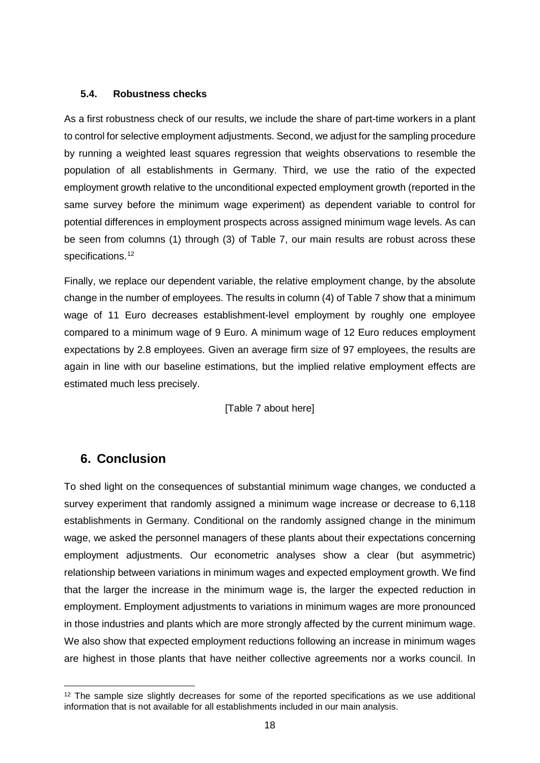#### **5.4. Robustness checks**

As a first robustness check of our results, we include the share of part-time workers in a plant to control for selective employment adjustments. Second, we adjust for the sampling procedure by running a weighted least squares regression that weights observations to resemble the population of all establishments in Germany. Third, we use the ratio of the expected employment growth relative to the unconditional expected employment growth (reported in the same survey before the minimum wage experiment) as dependent variable to control for potential differences in employment prospects across assigned minimum wage levels. As can be seen from columns (1) through (3) of Table 7, our main results are robust across these specifications.<sup>[12](#page-19-0)</sup>

Finally, we replace our dependent variable, the relative employment change, by the absolute change in the number of employees. The results in column (4) of Table 7 show that a minimum wage of 11 Euro decreases establishment-level employment by roughly one employee compared to a minimum wage of 9 Euro. A minimum wage of 12 Euro reduces employment expectations by 2.8 employees. Given an average firm size of 97 employees, the results are again in line with our baseline estimations, but the implied relative employment effects are estimated much less precisely.

[Table 7 about here]

## **6. Conclusion**

To shed light on the consequences of substantial minimum wage changes, we conducted a survey experiment that randomly assigned a minimum wage increase or decrease to 6,118 establishments in Germany. Conditional on the randomly assigned change in the minimum wage, we asked the personnel managers of these plants about their expectations concerning employment adjustments. Our econometric analyses show a clear (but asymmetric) relationship between variations in minimum wages and expected employment growth. We find that the larger the increase in the minimum wage is, the larger the expected reduction in employment. Employment adjustments to variations in minimum wages are more pronounced in those industries and plants which are more strongly affected by the current minimum wage. We also show that expected employment reductions following an increase in minimum wages are highest in those plants that have neither collective agreements nor a works council. In

<span id="page-19-0"></span> $12$  The sample size slightly decreases for some of the reported specifications as we use additional information that is not available for all establishments included in our main analysis.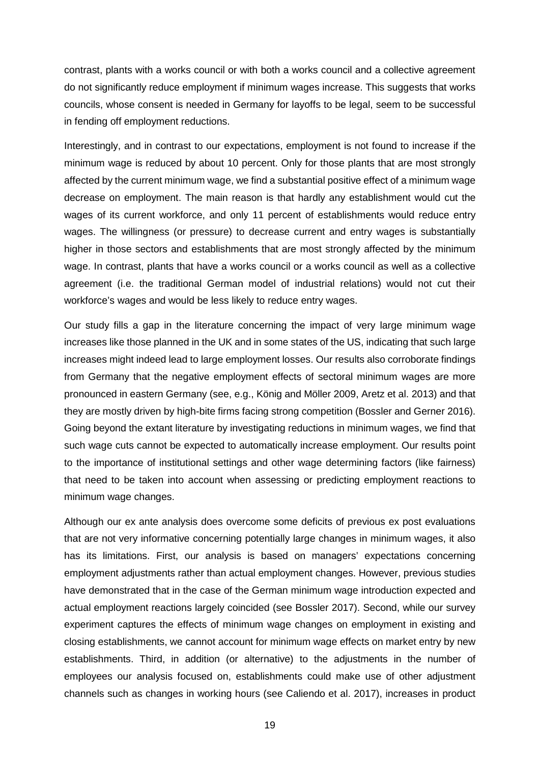contrast, plants with a works council or with both a works council and a collective agreement do not significantly reduce employment if minimum wages increase. This suggests that works councils, whose consent is needed in Germany for layoffs to be legal, seem to be successful in fending off employment reductions.

Interestingly, and in contrast to our expectations, employment is not found to increase if the minimum wage is reduced by about 10 percent. Only for those plants that are most strongly affected by the current minimum wage, we find a substantial positive effect of a minimum wage decrease on employment. The main reason is that hardly any establishment would cut the wages of its current workforce, and only 11 percent of establishments would reduce entry wages. The willingness (or pressure) to decrease current and entry wages is substantially higher in those sectors and establishments that are most strongly affected by the minimum wage. In contrast, plants that have a works council or a works council as well as a collective agreement (i.e. the traditional German model of industrial relations) would not cut their workforce's wages and would be less likely to reduce entry wages.

Our study fills a gap in the literature concerning the impact of very large minimum wage increases like those planned in the UK and in some states of the US, indicating that such large increases might indeed lead to large employment losses. Our results also corroborate findings from Germany that the negative employment effects of sectoral minimum wages are more pronounced in eastern Germany (see, e.g., König and Möller 2009, Aretz et al. 2013) and that they are mostly driven by high-bite firms facing strong competition (Bossler and Gerner 2016). Going beyond the extant literature by investigating reductions in minimum wages, we find that such wage cuts cannot be expected to automatically increase employment. Our results point to the importance of institutional settings and other wage determining factors (like fairness) that need to be taken into account when assessing or predicting employment reactions to minimum wage changes.

Although our ex ante analysis does overcome some deficits of previous ex post evaluations that are not very informative concerning potentially large changes in minimum wages, it also has its limitations. First, our analysis is based on managers' expectations concerning employment adjustments rather than actual employment changes. However, previous studies have demonstrated that in the case of the German minimum wage introduction expected and actual employment reactions largely coincided (see Bossler 2017). Second, while our survey experiment captures the effects of minimum wage changes on employment in existing and closing establishments, we cannot account for minimum wage effects on market entry by new establishments. Third, in addition (or alternative) to the adjustments in the number of employees our analysis focused on, establishments could make use of other adjustment channels such as changes in working hours (see Caliendo et al. 2017), increases in product

19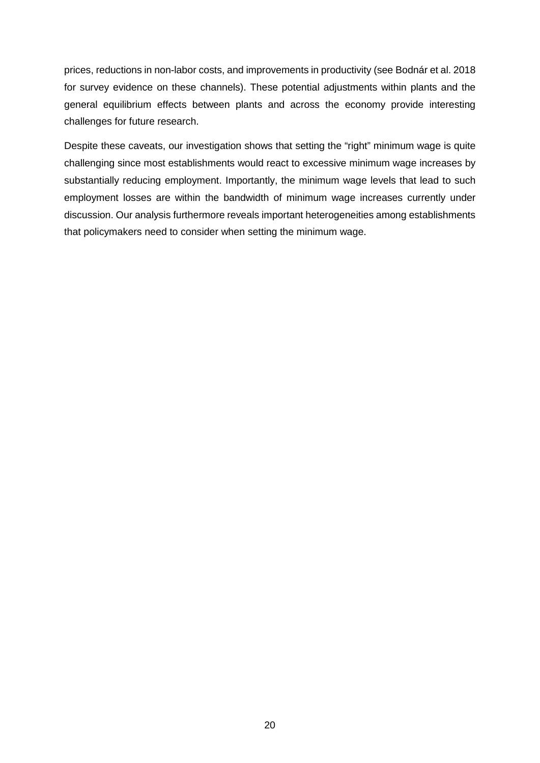prices, reductions in non-labor costs, and improvements in productivity (see Bodnár et al. 2018 for survey evidence on these channels). These potential adjustments within plants and the general equilibrium effects between plants and across the economy provide interesting challenges for future research.

Despite these caveats, our investigation shows that setting the "right" minimum wage is quite challenging since most establishments would react to excessive minimum wage increases by substantially reducing employment. Importantly, the minimum wage levels that lead to such employment losses are within the bandwidth of minimum wage increases currently under discussion. Our analysis furthermore reveals important heterogeneities among establishments that policymakers need to consider when setting the minimum wage.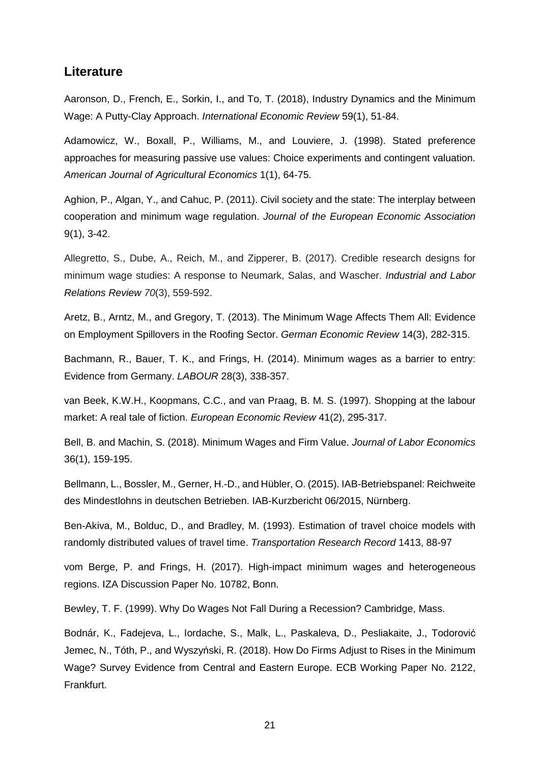## **Literature**

Aaronson, D., French, E., Sorkin, I., and To, T. (2018), Industry Dynamics and the Minimum Wage: A Putty-Clay Approach. *International Economic Review* 59(1), 51-84.

Adamowicz, W., Boxall, P., Williams, M., and Louviere, J. (1998). Stated preference approaches for measuring passive use values: Choice experiments and contingent valuation. *American Journal of Agricultural Economics* 1(1), 64-75.

Aghion, P., Algan, Y., and Cahuc, P. (2011). Civil society and the state: The interplay between cooperation and minimum wage regulation. *Journal of the European Economic Association* 9(1), 3-42.

Allegretto, S., Dube, A., Reich, M., and Zipperer, B. (2017). Credible research designs for minimum wage studies: A response to Neumark, Salas, and Wascher. *Industrial and Labor Relations Review 70*(3), 559-592.

Aretz, B., Arntz, M., and Gregory, T. (2013). The Minimum Wage Affects Them All: Evidence on Employment Spillovers in the Roofing Sector. *German Economic Review* 14(3), 282-315.

Bachmann, R., Bauer, T. K., and Frings, H. (2014). Minimum wages as a barrier to entry: Evidence from Germany. *LABOUR* 28(3), 338-357.

van Beek, K.W.H., Koopmans, C.C., and van Praag, B. M. S. (1997). Shopping at the labour market: A real tale of fiction. *European Economic Review* 41(2), 295-317.

Bell, B. and Machin, S. (2018). Minimum Wages and Firm Value. *Journal of Labor Economics* 36(1), 159-195.

Bellmann, L., Bossler, M., Gerner, H.-D., and Hübler, O. (2015). IAB-Betriebspanel: Reichweite des Mindestlohns in deutschen Betrieben. IAB-Kurzbericht 06/2015, Nürnberg.

Ben-Akiva, M., Bolduc, D., and Bradley, M. (1993). Estimation of travel choice models with randomly distributed values of travel time. *Transportation Research Record* 1413, 88-97

vom Berge, P. and Frings, H. (2017). High-impact minimum wages and heterogeneous regions. IZA Discussion Paper No. 10782, Bonn.

Bewley, T. F. (1999). Why Do Wages Not Fall During a Recession? Cambridge, Mass.

Bodnár, K., Fadejeva, L., Iordache, S., Malk, L., Paskaleva, D., Pesliakaite, J., Todorović Jemec, N., Tóth, P., and Wyszyński, R. (2018). How Do Firms Adjust to Rises in the Minimum Wage? Survey Evidence from Central and Eastern Europe. ECB Working Paper No. 2122, Frankfurt.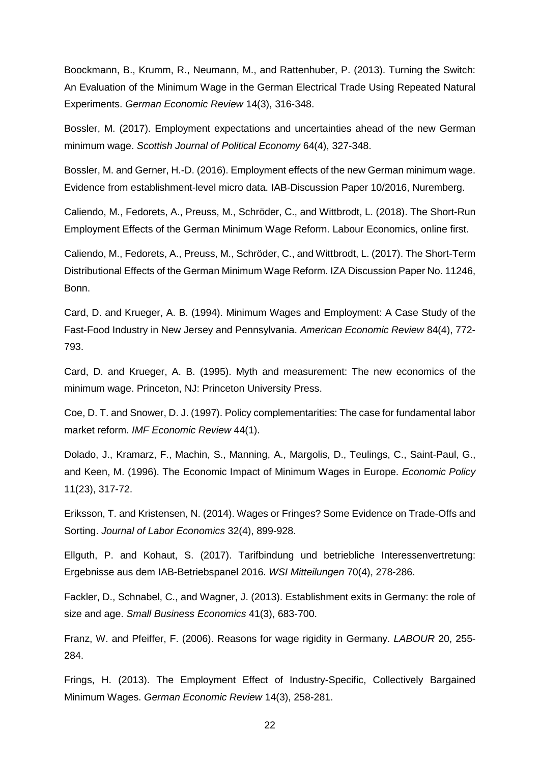Boockmann, B., Krumm, R., Neumann, M., and Rattenhuber, P. (2013). Turning the Switch: An Evaluation of the Minimum Wage in the German Electrical Trade Using Repeated Natural Experiments. *German Economic Review* 14(3), 316-348.

Bossler, M. (2017). Employment expectations and uncertainties ahead of the new German minimum wage. *Scottish Journal of Political Economy* 64(4), 327-348.

Bossler, M. and Gerner, H.-D. (2016). Employment effects of the new German minimum wage. Evidence from establishment-level micro data. IAB-Discussion Paper 10/2016, Nuremberg.

Caliendo, M., Fedorets, A., Preuss, M., Schröder, C., and Wittbrodt, L. (2018). The Short-Run Employment Effects of the German Minimum Wage Reform. Labour Economics, online first.

Caliendo, M., Fedorets, A., Preuss, M., Schröder, C., and Wittbrodt, L. (2017). The Short-Term Distributional Effects of the German Minimum Wage Reform. IZA Discussion Paper No. 11246, Bonn.

Card, D. and Krueger, A. B. (1994). Minimum Wages and Employment: A Case Study of the Fast-Food Industry in New Jersey and Pennsylvania. *American Economic Review* 84(4), 772- 793.

Card, D. and Krueger, A. B. (1995). Myth and measurement: The new economics of the minimum wage. Princeton, NJ: Princeton University Press.

Coe, D. T. and Snower, D. J. (1997). Policy complementarities: The case for fundamental labor market reform. *IMF Economic Review* 44(1).

Dolado, J., Kramarz, F., Machin, S., Manning, A., Margolis, D., Teulings, C., Saint-Paul, G., and Keen, M. (1996). The Economic Impact of Minimum Wages in Europe. *Economic Policy* 11(23), 317-72.

Eriksson, T. and Kristensen, N. (2014). Wages or Fringes? Some Evidence on Trade-Offs and Sorting. *Journal of Labor Economics* 32(4), 899-928.

Ellguth, P. and Kohaut, S. (2017). Tarifbindung und betriebliche Interessenvertretung: Ergebnisse aus dem IAB-Betriebspanel 2016. *WSI Mitteilungen* 70(4), 278-286.

Fackler, D., Schnabel, C., and Wagner, J. (2013). Establishment exits in Germany: the role of size and age. *Small Business Economics* 41(3), 683-700.

Franz, W. and Pfeiffer, F. (2006). Reasons for wage rigidity in Germany. *LABOUR* 20, 255- 284.

Frings, H. (2013). The Employment Effect of Industry-Specific, Collectively Bargained Minimum Wages. *German Economic Review* 14(3), 258-281.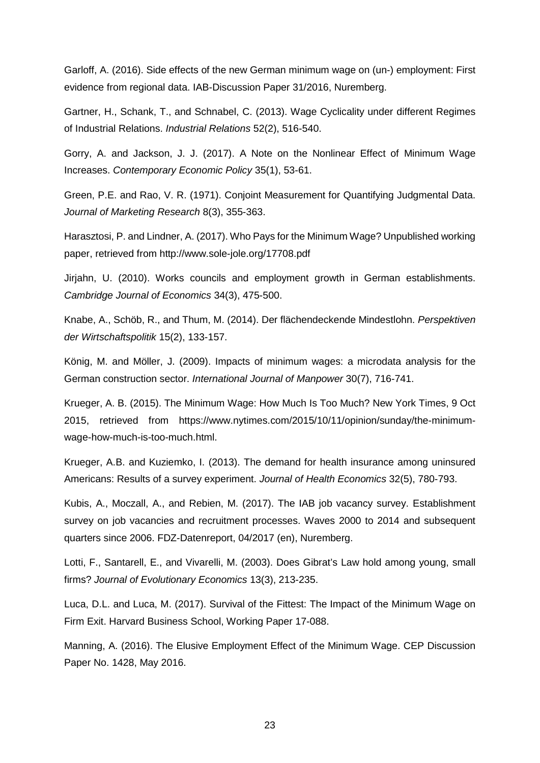Garloff, A. (2016). Side effects of the new German minimum wage on (un-) employment: First evidence from regional data. IAB-Discussion Paper 31/2016, Nuremberg.

Gartner, H., Schank, T., and Schnabel, C. (2013). Wage Cyclicality under different Regimes of Industrial Relations. *Industrial Relations* 52(2), 516-540.

Gorry, A. and Jackson, J. J. (2017). A Note on the Nonlinear Effect of Minimum Wage Increases. *Contemporary Economic Policy* 35(1), 53-61.

Green, P.E. and Rao, V. R. (1971). Conjoint Measurement for Quantifying Judgmental Data. *Journal of Marketing Research* 8(3), 355-363.

Harasztosi, P. and Lindner, A. (2017). Who Pays for the Minimum Wage? Unpublished working paper, retrieved from http://www.sole-jole.org/17708.pdf

Jirjahn, U. (2010). Works councils and employment growth in German establishments. *Cambridge Journal of Economics* 34(3), 475-500.

Knabe, A., Schöb, R., and Thum, M. (2014). Der flächendeckende Mindestlohn. *Perspektiven der Wirtschaftspolitik* 15(2), 133-157.

König, M. and Möller, J. (2009). Impacts of minimum wages: a microdata analysis for the German construction sector. *International Journal of Manpower* 30(7), 716-741.

Krueger, A. B. (2015). The Minimum Wage: How Much Is Too Much? New York Times, 9 Oct 2015, retrieved from https://www.nytimes.com/2015/10/11/opinion/sunday/the-minimumwage-how-much-is-too-much.html.

Krueger, A.B. and Kuziemko, I. (2013). The demand for health insurance among uninsured Americans: Results of a survey experiment. *Journal of Health Economics* 32(5), 780-793.

Kubis, A., Moczall, A., and Rebien, M. (2017). The IAB job vacancy survey. Establishment survey on job vacancies and recruitment processes. Waves 2000 to 2014 and subsequent quarters since 2006. FDZ-Datenreport, 04/2017 (en), Nuremberg.

Lotti, F., Santarell, E., and Vivarelli, M. (2003). Does Gibrat's Law hold among young, small firms? *Journal of Evolutionary Economics* 13(3), 213-235.

Luca, D.L. and Luca, M. (2017). Survival of the Fittest: The Impact of the Minimum Wage on Firm Exit. Harvard Business School, Working Paper 17-088.

Manning, A. (2016). The Elusive Employment Effect of the Minimum Wage. CEP Discussion Paper No. 1428, May 2016.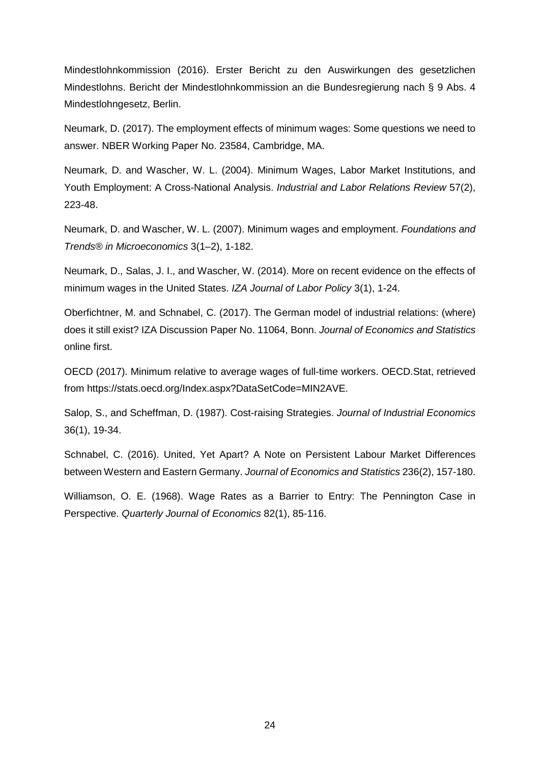Mindestlohnkommission (2016). Erster Bericht zu den Auswirkungen des gesetzlichen Mindestlohns. Bericht der Mindestlohnkommission an die Bundesregierung nach § 9 Abs. 4 Mindestlohngesetz, Berlin.

Neumark, D. (2017). The employment effects of minimum wages: Some questions we need to answer. NBER Working Paper No. 23584, Cambridge, MA.

Neumark, D. and Wascher, W. L. (2004). Minimum Wages, Labor Market Institutions, and Youth Employment: A Cross-National Analysis. *Industrial and Labor Relations Review* 57(2), 223-48.

Neumark, D. and Wascher, W. L. (2007). Minimum wages and employment. *Foundations and Trends® in Microeconomics* 3(1–2), 1-182.

Neumark, D., Salas, J. I., and Wascher, W. (2014). More on recent evidence on the effects of minimum wages in the United States. *IZA Journal of Labor Policy* 3(1), 1-24.

Oberfichtner, M. and Schnabel, C. (2017). The German model of industrial relations: (where) does it still exist? IZA Discussion Paper No. 11064, Bonn. *Journal of Economics and Statistics* online first.

OECD (2017). Minimum relative to average wages of full-time workers. OECD.Stat, retrieved from https://stats.oecd.org/Index.aspx?DataSetCode=MIN2AVE.

Salop, S., and Scheffman, D. (1987). Cost-raising Strategies. *Journal of Industrial Economics* 36(1), 19-34.

Schnabel, C. (2016). United, Yet Apart? A Note on Persistent Labour Market Differences between Western and Eastern Germany. *Journal of Economics and Statistics* 236(2), 157-180.

Williamson, O. E. (1968). Wage Rates as a Barrier to Entry: The Pennington Case in Perspective. *Quarterly Journal of Economics* 82(1), 85-116.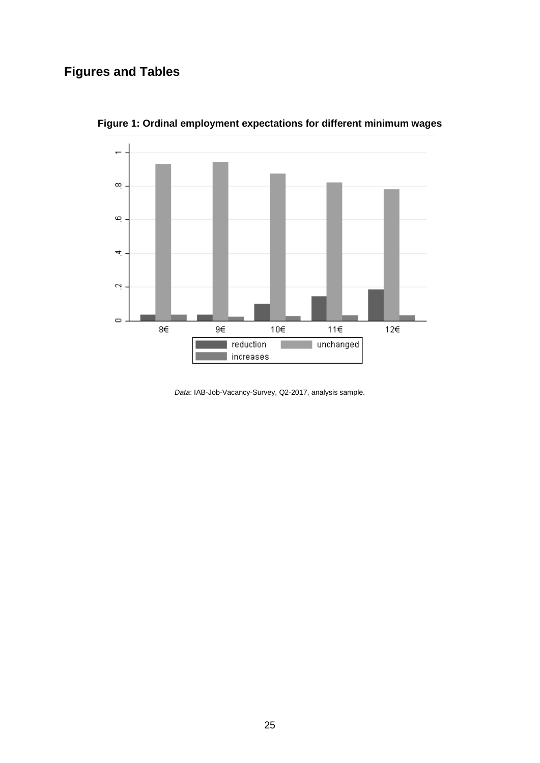# **Figures and Tables**



**Figure 1: Ordinal employment expectations for different minimum wages**

*Data*: IAB-Job-Vacancy-Survey, Q2-2017, analysis sample.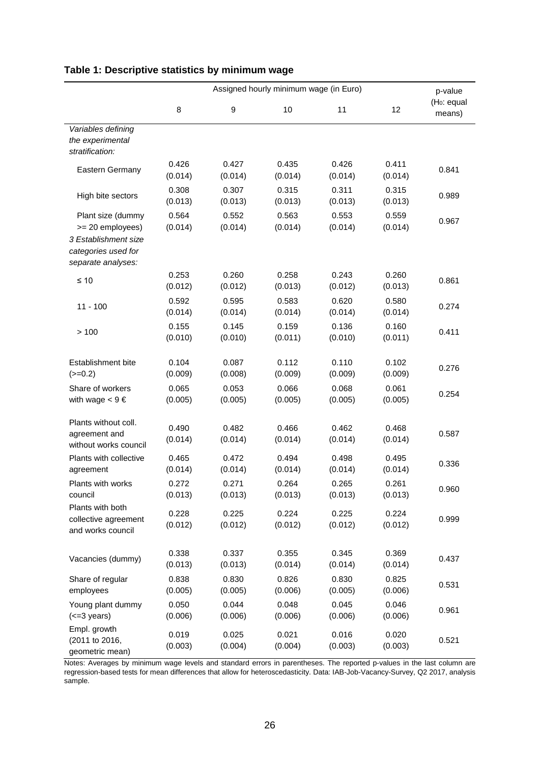|                                                                                                            | Assigned hourly minimum wage (in Euro) |                  |                  |                  | p-value          |                                   |
|------------------------------------------------------------------------------------------------------------|----------------------------------------|------------------|------------------|------------------|------------------|-----------------------------------|
|                                                                                                            | 8                                      | $\boldsymbol{9}$ | 10               | 11               | 12               | (H <sub>0</sub> : equal<br>means) |
| Variables defining<br>the experimental<br>stratification:                                                  |                                        |                  |                  |                  |                  |                                   |
| Eastern Germany                                                                                            | 0.426<br>(0.014)                       | 0.427<br>(0.014) | 0.435<br>(0.014) | 0.426<br>(0.014) | 0.411<br>(0.014) | 0.841                             |
| High bite sectors                                                                                          | 0.308<br>(0.013)                       | 0.307<br>(0.013) | 0.315<br>(0.013) | 0.311<br>(0.013) | 0.315<br>(0.013) | 0.989                             |
| Plant size (dummy<br>>= 20 employees)<br>3 Establishment size<br>categories used for<br>separate analyses: | 0.564<br>(0.014)                       | 0.552<br>(0.014) | 0.563<br>(0.014) | 0.553<br>(0.014) | 0.559<br>(0.014) | 0.967                             |
| $\leq 10$                                                                                                  | 0.253<br>(0.012)                       | 0.260<br>(0.012) | 0.258<br>(0.013) | 0.243<br>(0.012) | 0.260<br>(0.013) | 0.861                             |
| $11 - 100$                                                                                                 | 0.592<br>(0.014)                       | 0.595<br>(0.014) | 0.583<br>(0.014) | 0.620<br>(0.014) | 0.580<br>(0.014) | 0.274                             |
| >100                                                                                                       | 0.155<br>(0.010)                       | 0.145<br>(0.010) | 0.159<br>(0.011) | 0.136<br>(0.010) | 0.160<br>(0.011) | 0.411                             |
| Establishment bite<br>$(>=0.2)$                                                                            | 0.104<br>(0.009)                       | 0.087<br>(0.008) | 0.112<br>(0.009) | 0.110<br>(0.009) | 0.102<br>(0.009) | 0.276                             |
| Share of workers<br>with wage $< 9 \epsilon$                                                               | 0.065<br>(0.005)                       | 0.053<br>(0.005) | 0.066<br>(0.005) | 0.068<br>(0.005) | 0.061<br>(0.005) | 0.254                             |
| Plants without coll.<br>agreement and<br>without works council                                             | 0.490<br>(0.014)                       | 0.482<br>(0.014) | 0.466<br>(0.014) | 0.462<br>(0.014) | 0.468<br>(0.014) | 0.587                             |
| Plants with collective<br>agreement                                                                        | 0.465<br>(0.014)                       | 0.472<br>(0.014) | 0.494<br>(0.014) | 0.498<br>(0.014) | 0.495<br>(0.014) | 0.336                             |
| Plants with works<br>council                                                                               | 0.272<br>(0.013)                       | 0.271<br>(0.013) | 0.264<br>(0.013) | 0.265<br>(0.013) | 0.261<br>(0.013) | 0.960                             |
| Plants with both<br>collective agreement<br>and works council                                              | 0.228<br>(0.012)                       | 0.225<br>(0.012) | 0.224<br>(0.012) | 0.225<br>(0.012) | 0.224<br>(0.012) | 0.999                             |
| Vacancies (dummy)                                                                                          | 0.338<br>(0.013)                       | 0.337<br>(0.013) | 0.355<br>(0.014) | 0.345<br>(0.014) | 0.369<br>(0.014) | 0.437                             |
| Share of regular<br>employees                                                                              | 0.838<br>(0.005)                       | 0.830<br>(0.005) | 0.826<br>(0.006) | 0.830<br>(0.005) | 0.825<br>(0.006) | 0.531                             |
| Young plant dummy<br>$(\leq=3 \text{ years})$                                                              | 0.050<br>(0.006)                       | 0.044<br>(0.006) | 0.048<br>(0.006) | 0.045<br>(0.006) | 0.046<br>(0.006) | 0.961                             |
| Empl. growth<br>(2011 to 2016,<br>geometric mean)                                                          | 0.019<br>(0.003)                       | 0.025<br>(0.004) | 0.021<br>(0.004) | 0.016<br>(0.003) | 0.020<br>(0.003) | 0.521                             |

## **Table 1: Descriptive statistics by minimum wage**

Notes: Averages by minimum wage levels and standard errors in parentheses. The reported p-values in the last column are regression-based tests for mean differences that allow for heteroscedasticity. Data: IAB-Job-Vacancy-Survey, Q2 2017, analysis sample.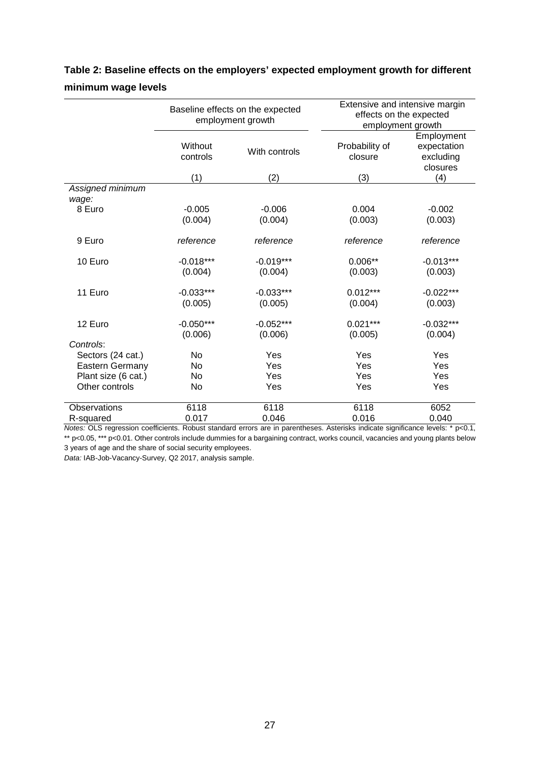# **Table 2: Baseline effects on the employers' expected employment growth for different minimum wage levels**

|                           | Baseline effects on the expected<br>employment growth |                        | Extensive and intensive margin<br>effects on the expected<br>employment growth |                                                    |  |
|---------------------------|-------------------------------------------------------|------------------------|--------------------------------------------------------------------------------|----------------------------------------------------|--|
|                           | Without<br>controls                                   | With controls          | Probability of<br>closure                                                      | Employment<br>expectation<br>excluding<br>closures |  |
|                           | (1)                                                   | (2)                    | (3)                                                                            | (4)                                                |  |
| Assigned minimum<br>wage: |                                                       |                        |                                                                                |                                                    |  |
| 8 Euro                    | $-0.005$<br>(0.004)                                   | $-0.006$<br>(0.004)    | 0.004<br>(0.003)                                                               | $-0.002$<br>(0.003)                                |  |
| 9 Euro                    | reference                                             | reference              | reference                                                                      | reference                                          |  |
| 10 Euro                   | $-0.018***$                                           | $-0.019***$            | $0.006**$                                                                      | $-0.013***$                                        |  |
|                           | (0.004)                                               | (0.004)                | (0.003)                                                                        | (0.003)                                            |  |
| 11 Euro                   | $-0.033***$<br>(0.005)                                | $-0.033***$<br>(0.005) | $0.012***$<br>(0.004)                                                          | $-0.022***$<br>(0.003)                             |  |
| 12 Euro                   | $-0.050***$<br>(0.006)                                | $-0.052***$<br>(0.006) | $0.021***$<br>(0.005)                                                          | $-0.032***$<br>(0.004)                             |  |
| Controls:                 |                                                       |                        |                                                                                |                                                    |  |
| Sectors (24 cat.)         | No                                                    | Yes                    | Yes                                                                            | Yes                                                |  |
| Eastern Germany           | <b>No</b>                                             | Yes                    | Yes                                                                            | Yes                                                |  |
| Plant size (6 cat.)       | No                                                    | Yes                    | Yes                                                                            | Yes                                                |  |
| Other controls            | No                                                    | Yes                    | Yes                                                                            | Yes                                                |  |
| <b>Observations</b>       | 6118                                                  | 6118                   | 6118                                                                           | 6052                                               |  |
| R-squared                 | 0.017                                                 | 0.046                  | 0.016                                                                          | 0.040                                              |  |

*Notes:* OLS regression coefficients. Robust standard errors are in parentheses. Asterisks indicate significance levels: \* p<0.1, \*\* p<0.05, \*\*\* p<0.01. Other controls include dummies for a bargaining contract, works council, vacancies and young plants below

3 years of age and the share of social security employees.

*Data:* IAB-Job-Vacancy-Survey, Q2 2017, analysis sample.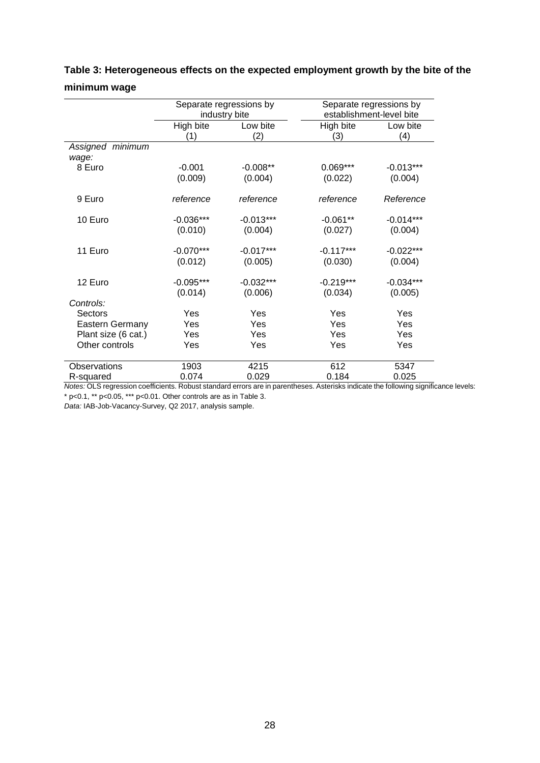|                           | Separate regressions by<br>industry bite |                        | Separate regressions by<br>establishment-level bite |                        |
|---------------------------|------------------------------------------|------------------------|-----------------------------------------------------|------------------------|
|                           | High bite<br>(1)                         | Low bite<br>(2)        | High bite<br>(3)                                    | Low bite<br>(4)        |
| Assigned minimum<br>wage: |                                          |                        |                                                     |                        |
| 8 Euro                    | $-0.001$<br>(0.009)                      | $-0.008**$<br>(0.004)  | $0.069***$<br>(0.022)                               | $-0.013***$<br>(0.004) |
| 9 Euro                    | reference                                | reference              | reference                                           | Reference              |
| 10 Euro                   | $-0.036***$<br>(0.010)                   | $-0.013***$<br>(0.004) | $-0.061**$<br>(0.027)                               | $-0.014***$<br>(0.004) |
| 11 Euro                   | $-0.070***$<br>(0.012)                   | $-0.017***$<br>(0.005) | $-0.117***$<br>(0.030)                              | $-0.022***$<br>(0.004) |
| 12 Euro                   | $-0.095***$<br>(0.014)                   | $-0.032***$<br>(0.006) | $-0.219***$<br>(0.034)                              | $-0.034***$<br>(0.005) |
| Controls:                 |                                          |                        |                                                     |                        |
| <b>Sectors</b>            | Yes                                      | Yes                    | Yes                                                 | Yes                    |
| <b>Eastern Germany</b>    | Yes                                      | Yes                    | Yes                                                 | Yes                    |
| Plant size (6 cat.)       | Yes                                      | Yes                    | Yes                                                 | Yes                    |
| Other controls            | Yes                                      | Yes                    | Yes                                                 | Yes                    |
| Observations              | 1903                                     | 4215                   | 612                                                 | 5347                   |
| R-squared                 | 0.074                                    | 0.029                  | 0.184                                               | 0.025                  |

## **Table 3: Heterogeneous effects on the expected employment growth by the bite of the minimum wage**

*Notes:* OLS regression coefficients. Robust standard errors are in parentheses. Asterisks indicate the following significance levels: \* p<0.1, \*\* p<0.05, \*\*\* p<0.01. Other controls are as in Table 3.

*Data:* IAB-Job-Vacancy-Survey, Q2 2017, analysis sample.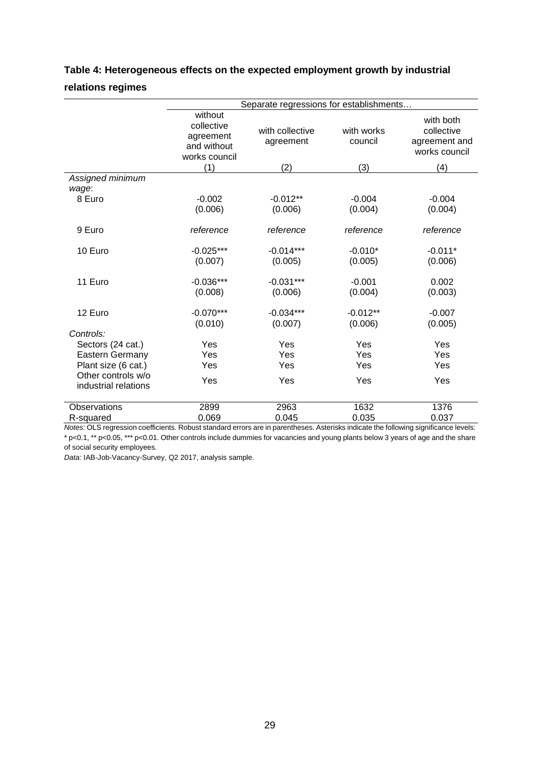|                                            | Separate regressions for establishments                                   |                                     |                              |                                                                  |  |
|--------------------------------------------|---------------------------------------------------------------------------|-------------------------------------|------------------------------|------------------------------------------------------------------|--|
|                                            | without<br>collective<br>agreement<br>and without<br>works council<br>(1) | with collective<br>agreement<br>(2) | with works<br>council<br>(3) | with both<br>collective<br>agreement and<br>works council<br>(4) |  |
| Assigned minimum                           |                                                                           |                                     |                              |                                                                  |  |
| wage:                                      |                                                                           |                                     |                              |                                                                  |  |
| 8 Euro                                     | $-0.002$                                                                  | $-0.012**$                          | $-0.004$                     | $-0.004$                                                         |  |
|                                            | (0.006)                                                                   | (0.006)                             | (0.004)                      | (0.004)                                                          |  |
| 9 Euro                                     | reference                                                                 | reference                           | reference                    | reference                                                        |  |
| 10 Euro                                    | $-0.025***$                                                               | $-0.014***$                         | $-0.010*$                    | $-0.011*$                                                        |  |
|                                            | (0.007)                                                                   | (0.005)                             | (0.005)                      | (0.006)                                                          |  |
| 11 Euro                                    | $-0.036***$                                                               | $-0.031***$                         | $-0.001$                     | 0.002                                                            |  |
|                                            | (0.008)                                                                   | (0.006)                             | (0.004)                      | (0.003)                                                          |  |
| 12 Euro                                    | $-0.070***$                                                               | $-0.034***$                         | $-0.012**$                   | $-0.007$                                                         |  |
|                                            | (0.010)                                                                   | (0.007)                             | (0.006)                      | (0.005)                                                          |  |
| Controls:                                  |                                                                           |                                     |                              |                                                                  |  |
| Sectors (24 cat.)                          | Yes                                                                       | Yes                                 | Yes                          | Yes                                                              |  |
| Eastern Germany                            | Yes                                                                       | Yes                                 | Yes                          | Yes                                                              |  |
| Plant size (6 cat.)                        | Yes                                                                       | Yes                                 | Yes                          | Yes                                                              |  |
| Other controls w/o<br>industrial relations | Yes                                                                       | Yes                                 | Yes                          | Yes                                                              |  |
| Observations                               | 2899                                                                      | 2963                                | 1632                         | 1376                                                             |  |
| R-squared                                  | 0.069                                                                     | 0.045                               | 0.035                        | 0.037                                                            |  |

## **Table 4: Heterogeneous effects on the expected employment growth by industrial relations regimes**

*Notes:* OLS regression coefficients. Robust standard errors are in parentheses. Asterisks indicate the following significance levels: \* p<0.1, \*\* p<0.05, \*\*\* p<0.01. Other controls include dummies for vacancies and young plants below 3 years of age and the share

of social security employees. *Data:* IAB-Job-Vacancy-Survey, Q2 2017, analysis sample.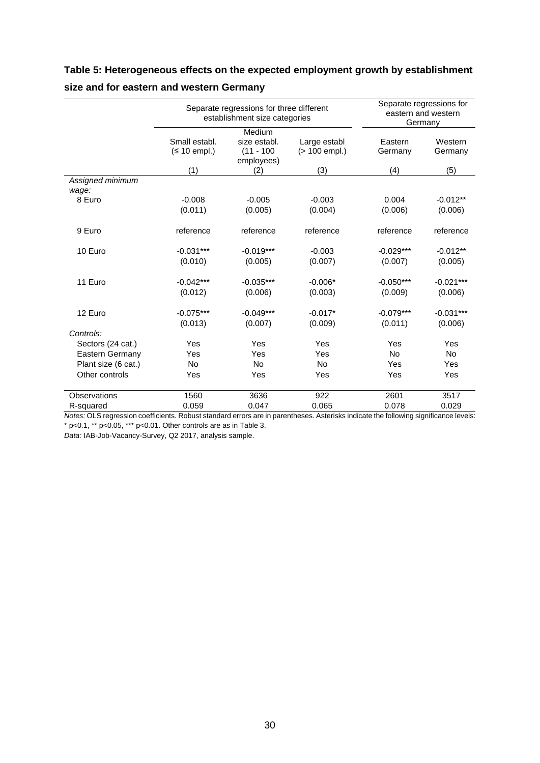## **Table 5: Heterogeneous effects on the expected employment growth by establishment**

|                           | Separate regressions for three different<br>establishment size categories |                                                      |                               | Separate regressions for<br>eastern and western<br>Germany |                        |
|---------------------------|---------------------------------------------------------------------------|------------------------------------------------------|-------------------------------|------------------------------------------------------------|------------------------|
|                           | Small establ.<br>$(≤ 10$ empl.)                                           | Medium<br>size establ.<br>$(11 - 100)$<br>employees) | Large establ<br>(> 100 empl.) | Eastern<br>Germany                                         | Western<br>Germany     |
|                           | (1)                                                                       | (2)                                                  | (3)                           | (4)                                                        | (5)                    |
| Assigned minimum<br>wage: |                                                                           |                                                      |                               |                                                            |                        |
| 8 Euro                    | $-0.008$<br>(0.011)                                                       | $-0.005$<br>(0.005)                                  | $-0.003$<br>(0.004)           | 0.004<br>(0.006)                                           | $-0.012**$<br>(0.006)  |
| 9 Euro                    | reference                                                                 | reference                                            | reference                     | reference                                                  | reference              |
| 10 Euro                   | $-0.031***$<br>(0.010)                                                    | $-0.019***$<br>(0.005)                               | $-0.003$<br>(0.007)           | $-0.029***$<br>(0.007)                                     | $-0.012**$<br>(0.005)  |
| 11 Euro                   | $-0.042***$<br>(0.012)                                                    | $-0.035***$<br>(0.006)                               | $-0.006*$<br>(0.003)          | $-0.050***$<br>(0.009)                                     | $-0.021***$<br>(0.006) |
| 12 Euro                   | $-0.075***$<br>(0.013)                                                    | $-0.049***$<br>(0.007)                               | $-0.017*$<br>(0.009)          | $-0.079***$<br>(0.011)                                     | $-0.031***$<br>(0.006) |
| Controls:                 |                                                                           |                                                      |                               |                                                            |                        |
| Sectors (24 cat.)         | Yes                                                                       | Yes                                                  | Yes                           | Yes                                                        | Yes                    |
| Eastern Germany           | Yes                                                                       | Yes                                                  | Yes                           | No                                                         | <b>No</b>              |
| Plant size (6 cat.)       | <b>No</b>                                                                 | <b>No</b>                                            | <b>No</b>                     | Yes                                                        | Yes                    |
| Other controls            | Yes                                                                       | Yes                                                  | Yes                           | Yes                                                        | Yes                    |
| Observations              | 1560                                                                      | 3636                                                 | 922                           | 2601                                                       | 3517                   |
| R-squared                 | 0.059                                                                     | 0.047                                                | 0.065                         | 0.078                                                      | 0.029                  |

## **size and for eastern and western Germany**

*Notes:* OLS regression coefficients. Robust standard errors are in parentheses. Asterisks indicate the following significance levels: \* p<0.1, \*\* p<0.05, \*\*\* p<0.01. Other controls are as in Table 3.

*Data:* IAB-Job-Vacancy-Survey, Q2 2017, analysis sample.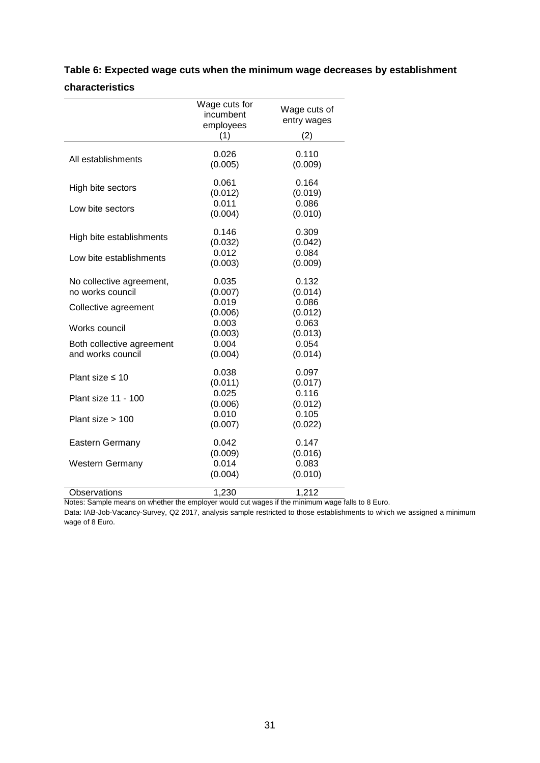|                                                | Wage cuts for<br>incumbent<br>employees<br>(1) | Wage cuts of<br>entry wages<br>(2) |
|------------------------------------------------|------------------------------------------------|------------------------------------|
|                                                |                                                |                                    |
| All establishments                             | 0.026<br>(0.005)                               | 0.110<br>(0.009)                   |
| High bite sectors                              | 0.061<br>(0.012)                               | 0.164<br>(0.019)                   |
| Low bite sectors                               | 0.011<br>(0.004)                               | 0.086<br>(0.010)                   |
| High bite establishments                       | 0.146<br>(0.032)                               | 0.309<br>(0.042)                   |
| Low bite establishments                        | 0.012<br>(0.003)                               | 0.084<br>(0.009)                   |
| No collective agreement,<br>no works council   | 0.035<br>(0.007)                               | 0.132<br>(0.014)                   |
| Collective agreement                           | 0.019<br>(0.006)                               | 0.086<br>(0.012)                   |
| Works council                                  | 0.003<br>(0.003)                               | 0.063<br>(0.013)                   |
| Both collective agreement<br>and works council | 0.004<br>(0.004)                               | 0.054<br>(0.014)                   |
| Plant size $\leq 10$                           | 0.038<br>(0.011)                               | 0.097<br>(0.017)                   |
| Plant size 11 - 100                            | 0.025<br>(0.006)                               | 0.116<br>(0.012)                   |
| Plant size $> 100$                             | 0.010<br>(0.007)                               | 0.105<br>(0.022)                   |
| <b>Eastern Germany</b>                         | 0.042<br>(0.009)                               | 0.147<br>(0.016)                   |
| <b>Western Germany</b>                         | 0.014<br>(0.004)                               | 0.083<br>(0.010)                   |
| Observations                                   | 1,230                                          | 1,212                              |

# **Table 6: Expected wage cuts when the minimum wage decreases by establishment characteristics**

Notes: Sample means on whether the employer would cut wages if the minimum wage falls to 8 Euro.

Data: IAB-Job-Vacancy-Survey, Q2 2017, analysis sample restricted to those establishments to which we assigned a minimum wage of 8 Euro.